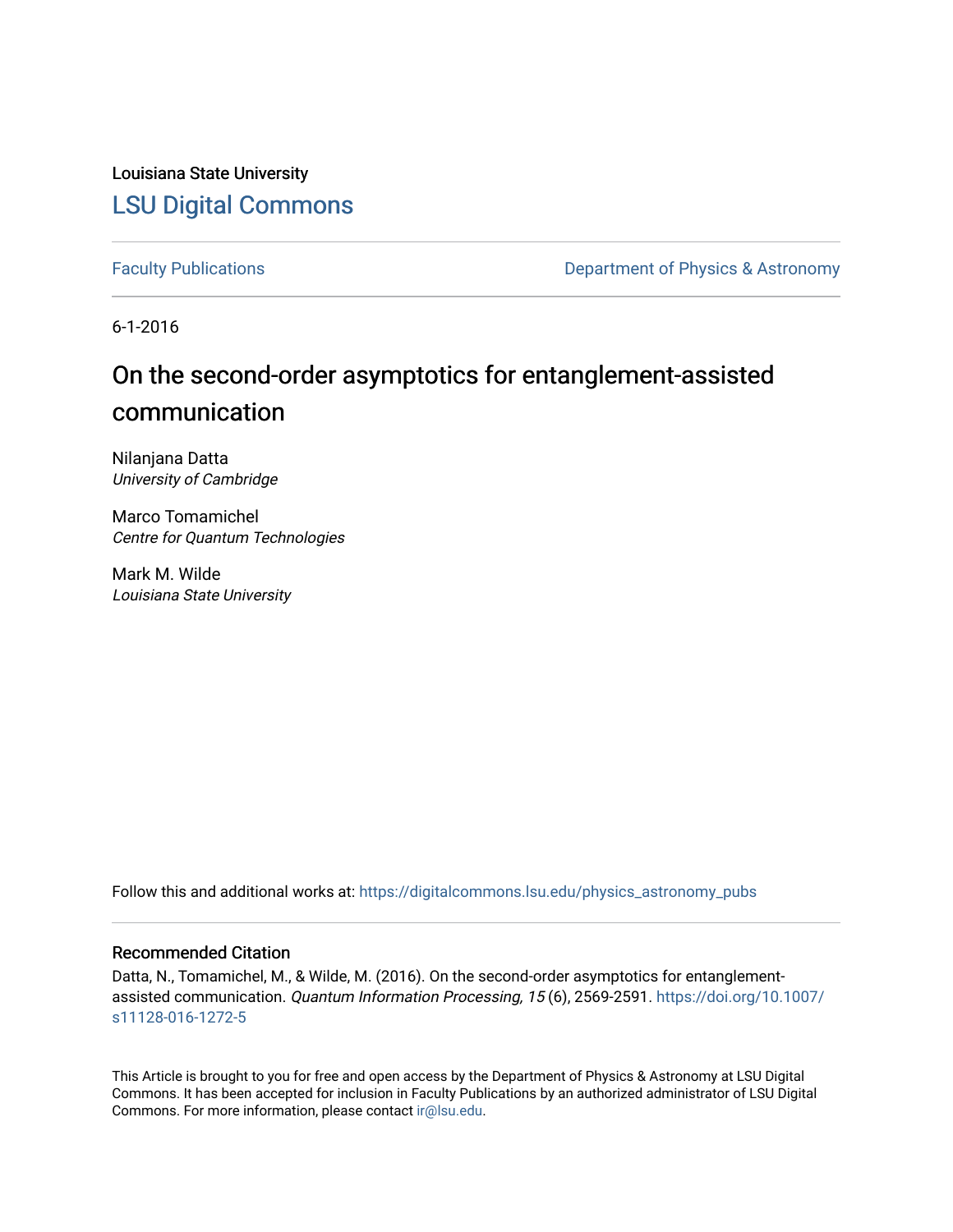Louisiana State University [LSU Digital Commons](https://digitalcommons.lsu.edu/)

[Faculty Publications](https://digitalcommons.lsu.edu/physics_astronomy_pubs) **Exercise 2 and Table 2 and Table 2 and Table 2 and Table 2 and Table 2 and Table 2 and Table 2 and Table 2 and Table 2 and Table 2 and Table 2 and Table 2 and Table 2 and Table 2 and Table 2 and Table** 

6-1-2016

# On the second-order asymptotics for entanglement-assisted communication

Nilanjana Datta University of Cambridge

Marco Tomamichel Centre for Quantum Technologies

Mark M. Wilde Louisiana State University

Follow this and additional works at: [https://digitalcommons.lsu.edu/physics\\_astronomy\\_pubs](https://digitalcommons.lsu.edu/physics_astronomy_pubs?utm_source=digitalcommons.lsu.edu%2Fphysics_astronomy_pubs%2F5673&utm_medium=PDF&utm_campaign=PDFCoverPages) 

#### Recommended Citation

Datta, N., Tomamichel, M., & Wilde, M. (2016). On the second-order asymptotics for entanglementassisted communication. Quantum Information Processing, 15 (6), 2569-2591. [https://doi.org/10.1007/](https://doi.org/10.1007/s11128-016-1272-5) [s11128-016-1272-5](https://doi.org/10.1007/s11128-016-1272-5)

This Article is brought to you for free and open access by the Department of Physics & Astronomy at LSU Digital Commons. It has been accepted for inclusion in Faculty Publications by an authorized administrator of LSU Digital Commons. For more information, please contact [ir@lsu.edu](mailto:ir@lsu.edu).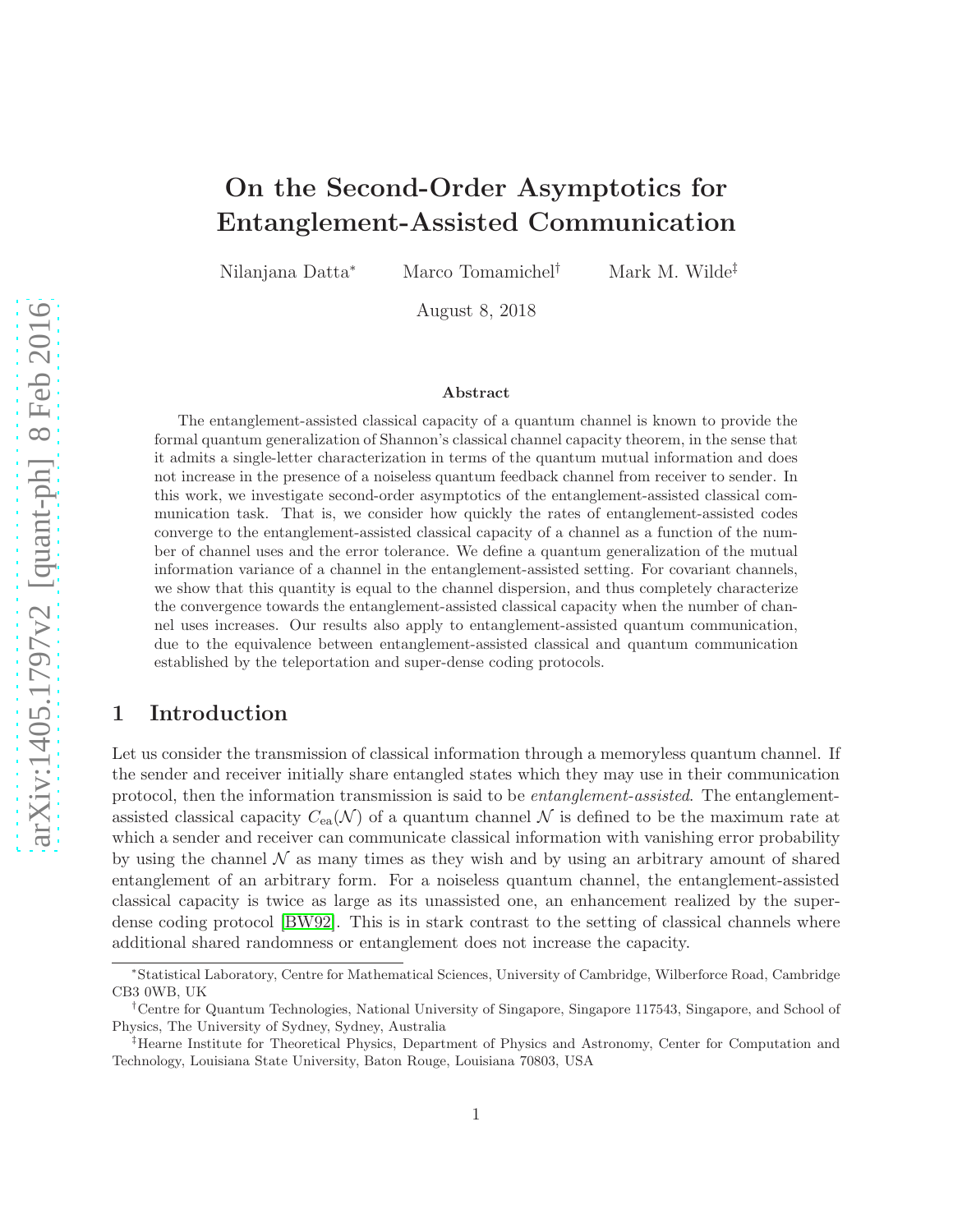## On the Second-Order Asymptotics for Entanglement-Assisted Communication

Nilanjana Datta<sup>∗</sup> Marco Tomamichel† Mark M. Wilde‡

August 8, 2018

#### Abstract

The entanglement-assisted classical capacity of a quantum channel is known to provide the formal quantum generalization of Shannon's classical channel capacity theorem, in the sense that it admits a single-letter characterization in terms of the quantum mutual information and does not increase in the presence of a noiseless quantum feedback channel from receiver to sender. In this work, we investigate second-order asymptotics of the entanglement-assisted classical communication task. That is, we consider how quickly the rates of entanglement-assisted codes converge to the entanglement-assisted classical capacity of a channel as a function of the number of channel uses and the error tolerance. We define a quantum generalization of the mutual information variance of a channel in the entanglement-assisted setting. For covariant channels, we show that this quantity is equal to the channel dispersion, and thus completely characterize the convergence towards the entanglement-assisted classical capacity when the number of channel uses increases. Our results also apply to entanglement-assisted quantum communication, due to the equivalence between entanglement-assisted classical and quantum communication established by the teleportation and super-dense coding protocols.

## 1 Introduction

Let us consider the transmission of classical information through a memoryless quantum channel. If the sender and receiver initially share entangled states which they may use in their communication protocol, then the information transmission is said to be *entanglement-assisted*. The entanglementassisted classical capacity  $C_{ea}(\mathcal{N})$  of a quantum channel  $\mathcal N$  is defined to be the maximum rate at which a sender and receiver can communicate classical information with vanishing error probability by using the channel  $N$  as many times as they wish and by using an arbitrary amount of shared entanglement of an arbitrary form. For a noiseless quantum channel, the entanglement-assisted classical capacity is twice as large as its unassisted one, an enhancement realized by the superdense coding protocol [\[BW92\]](#page-19-0). This is in stark contrast to the setting of classical channels where additional shared randomness or entanglement does not increase the capacity.

<sup>∗</sup> Statistical Laboratory, Centre for Mathematical Sciences, University of Cambridge, Wilberforce Road, Cambridge CB3 0WB, UK

<sup>†</sup>Centre for Quantum Technologies, National University of Singapore, Singapore 117543, Singapore, and School of Physics, The University of Sydney, Sydney, Australia

<sup>‡</sup>Hearne Institute for Theoretical Physics, Department of Physics and Astronomy, Center for Computation and Technology, Louisiana State University, Baton Rouge, Louisiana 70803, USA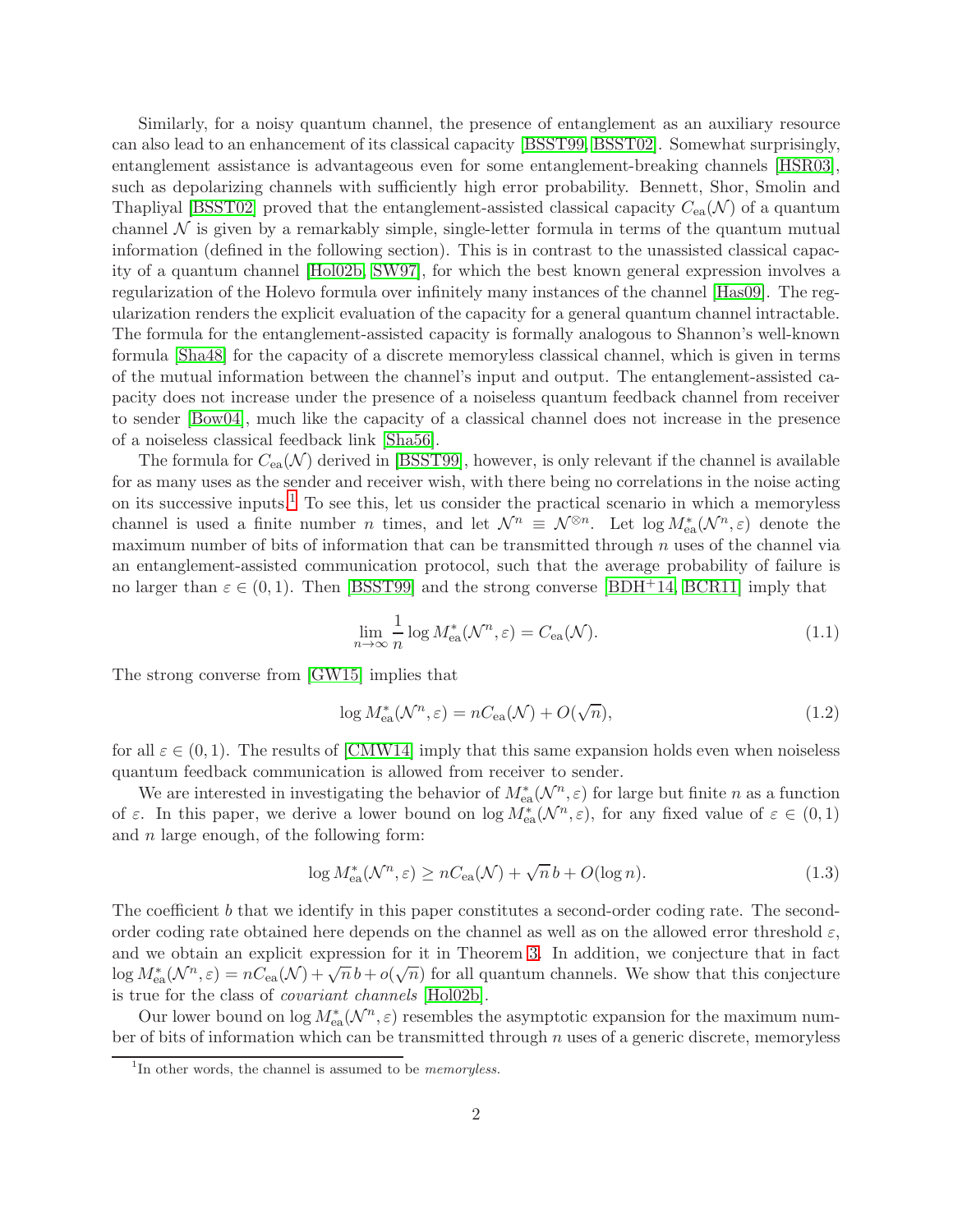Similarly, for a noisy quantum channel, the presence of entanglement as an auxiliary resource can also lead to an enhancement of its classical capacity [\[BSST99,](#page-18-0) [BSST02\]](#page-18-1). Somewhat surprisingly, entanglement assistance is advantageous even for some entanglement-breaking channels [\[HSR03\]](#page-20-0), such as depolarizing channels with sufficiently high error probability. Bennett, Shor, Smolin and Thapliyal [\[BSST02\]](#page-18-1) proved that the entanglement-assisted classical capacity  $C_{ea}(\mathcal{N})$  of a quantum channel  $\mathcal N$  is given by a remarkably simple, single-letter formula in terms of the quantum mutual information (defined in the following section). This is in contrast to the unassisted classical capacity of a quantum channel [\[Hol02b,](#page-20-1) [SW97\]](#page-20-2), for which the best known general expression involves a regularization of the Holevo formula over infinitely many instances of the channel [\[Has09\]](#page-19-1). The regularization renders the explicit evaluation of the capacity for a general quantum channel intractable. The formula for the entanglement-assisted capacity is formally analogous to Shannon's well-known formula [\[Sha48\]](#page-20-3) for the capacity of a discrete memoryless classical channel, which is given in terms of the mutual information between the channel's input and output. The entanglement-assisted capacity does not increase under the presence of a noiseless quantum feedback channel from receiver to sender [\[Bow04\]](#page-18-2), much like the capacity of a classical channel does not increase in the presence of a noiseless classical feedback link [\[Sha56\]](#page-20-4).

The formula for  $C_{ea}(\mathcal{N})$  derived in [\[BSST99\]](#page-18-0), however, is only relevant if the channel is available for as many uses as the sender and receiver wish, with there being no correlations in the noise acting on its successive inputs.<sup>[1](#page-2-0)</sup> To see this, let us consider the practical scenario in which a memoryless channel is used a finite number *n* times, and let  $\mathcal{N}^n \equiv \mathcal{N}^{\otimes n}$ . Let  $\log M_{\text{ea}}^*(\mathcal{N}^n, \varepsilon)$  denote the maximum number of bits of information that can be transmitted through  $n$  uses of the channel via an entanglement-assisted communication protocol, such that the average probability of failure is no larger than  $\varepsilon \in (0,1)$ . Then [\[BSST99\]](#page-18-0) and the strong converse [\[BDH](#page-18-3)+14, [BCR11\]](#page-18-4) imply that

$$
\lim_{n \to \infty} \frac{1}{n} \log M_{\text{ea}}^*(\mathcal{N}^n, \varepsilon) = C_{\text{ea}}(\mathcal{N}).\tag{1.1}
$$

The strong converse from [\[GW15\]](#page-19-2) implies that

$$
\log M_{\text{ea}}^*(\mathcal{N}^n, \varepsilon) = nC_{\text{ea}}(\mathcal{N}) + O(\sqrt{n}),\tag{1.2}
$$

for all  $\varepsilon \in (0,1)$ . The results of [\[CMW14\]](#page-19-3) imply that this same expansion holds even when noiseless quantum feedback communication is allowed from receiver to sender.

We are interested in investigating the behavior of  $M^*_{ea}(\mathcal{N}^n, \varepsilon)$  for large but finite n as a function of  $\varepsilon$ . In this paper, we derive a lower bound on  $\log M_{\text{ea}}^*(\mathcal{N}^n, \varepsilon)$ , for any fixed value of  $\varepsilon \in (0, 1)$ and  $n$  large enough, of the following form:

$$
\log M_{\text{ea}}^*(\mathcal{N}^n, \varepsilon) \ge nC_{\text{ea}}(\mathcal{N}) + \sqrt{n}b + O(\log n). \tag{1.3}
$$

The coefficient b that we identify in this paper constitutes a second-order coding rate. The secondorder coding rate obtained here depends on the channel as well as on the allowed error threshold  $\varepsilon$ , and we obtain an explicit expression for it in Theorem [3.](#page-5-0) In addition, we conjecture that in fact  $\log M_{\text{ea}}^*(\mathcal{N}^n, \varepsilon) = nC_{\text{ea}}(\mathcal{N}) + \sqrt{n} b + o(\sqrt{n})$  for all quantum channels. We show that this conjecture is true for the class of *covariant channels* [\[Hol02b\]](#page-20-1).

Our lower bound on  $\log M_{\text{ea}}^*(\mathcal{N}^n, \varepsilon)$  resembles the asymptotic expansion for the maximum number of bits of information which can be transmitted through  $n$  uses of a generic discrete, memoryless

<span id="page-2-0"></span><sup>&</sup>lt;sup>1</sup>In other words, the channel is assumed to be *memoryless*.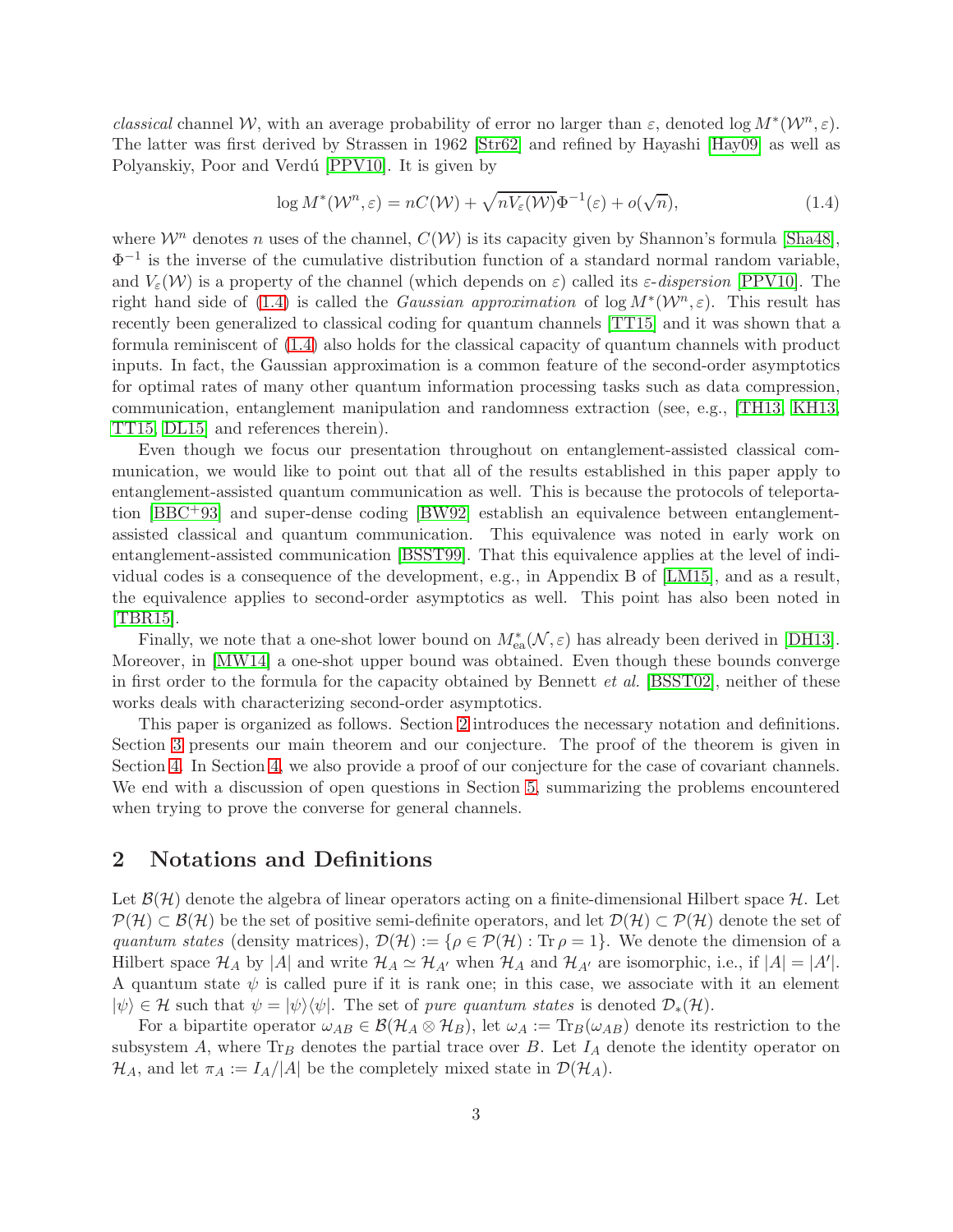*classical* channel W, with an average probability of error no larger than  $\varepsilon$ , denoted log  $M^*(W^n, \varepsilon)$ . The latter was first derived by Strassen in 1962 [\[Str62\]](#page-20-5) and refined by Hayashi [\[Hay09\]](#page-19-4) as well as Polyanskiy, Poor and Verdú [\[PPV10\]](#page-20-6). It is given by

<span id="page-3-0"></span>
$$
\log M^*(\mathcal{W}^n, \varepsilon) = nC(\mathcal{W}) + \sqrt{nV_{\varepsilon}(\mathcal{W})} \Phi^{-1}(\varepsilon) + o(\sqrt{n}), \tag{1.4}
$$

where  $\mathcal{W}^n$  denotes n uses of the channel,  $C(\mathcal{W})$  is its capacity given by Shannon's formula [\[Sha48\]](#page-20-3),  $\Phi^{-1}$  is the inverse of the cumulative distribution function of a standard normal random variable, and  $V_{\varepsilon}(\mathcal{W})$  is a property of the channel (which depends on  $\varepsilon$ ) called its  $\varepsilon$ -*dispersion* [\[PPV10\]](#page-20-6). The right hand side of [\(1.4\)](#page-3-0) is called the *Gaussian approximation* of  $\log M^*(W^n, \varepsilon)$ . This result has recently been generalized to classical coding for quantum channels [\[TT15\]](#page-21-0) and it was shown that a formula reminiscent of [\(1.4\)](#page-3-0) also holds for the classical capacity of quantum channels with product inputs. In fact, the Gaussian approximation is a common feature of the second-order asymptotics for optimal rates of many other quantum information processing tasks such as data compression, communication, entanglement manipulation and randomness extraction (see, e.g., [\[TH13,](#page-21-1) [KH13,](#page-20-7) [TT15,](#page-21-0) [DL15\]](#page-19-5) and references therein).

Even though we focus our presentation throughout on entanglement-assisted classical communication, we would like to point out that all of the results established in this paper apply to entanglement-assisted quantum communication as well. This is because the protocols of teleportation [\[BBC](#page-18-5)+93] and super-dense coding [\[BW92\]](#page-19-0) establish an equivalence between entanglementassisted classical and quantum communication. This equivalence was noted in early work on entanglement-assisted communication [\[BSST99\]](#page-18-0). That this equivalence applies at the level of individual codes is a consequence of the development, e.g., in Appendix B of [\[LM15\]](#page-20-8), and as a result, the equivalence applies to second-order asymptotics as well. This point has also been noted in [\[TBR15\]](#page-20-9).

Finally, we note that a one-shot lower bound on  $M_{ea}^*(\mathcal{N}, \varepsilon)$  has already been derived in [\[DH13\]](#page-19-6). Moreover, in [\[MW14\]](#page-20-10) a one-shot upper bound was obtained. Even though these bounds converge in first order to the formula for the capacity obtained by Bennett *et al.* [\[BSST02\]](#page-18-1), neither of these works deals with characterizing second-order asymptotics.

This paper is organized as follows. Section [2](#page-3-1) introduces the necessary notation and definitions. Section [3](#page-5-1) presents our main theorem and our conjecture. The proof of the theorem is given in Section [4.](#page-6-0) In Section [4,](#page-6-0) we also provide a proof of our conjecture for the case of covariant channels. We end with a discussion of open questions in Section [5,](#page-16-0) summarizing the problems encountered when trying to prove the converse for general channels.

## <span id="page-3-1"></span>2 Notations and Definitions

Let  $\mathcal{B}(\mathcal{H})$  denote the algebra of linear operators acting on a finite-dimensional Hilbert space  $\mathcal{H}$ . Let  $\mathcal{P}(\mathcal{H}) \subset \mathcal{B}(\mathcal{H})$  be the set of positive semi-definite operators, and let  $\mathcal{D}(\mathcal{H}) \subset \mathcal{P}(\mathcal{H})$  denote the set of *quantum states* (density matrices),  $\mathcal{D}(\mathcal{H}) := \{ \rho \in \mathcal{P}(\mathcal{H}) : \text{Tr } \rho = 1 \}.$  We denote the dimension of a Hilbert space  $\mathcal{H}_A$  by |A| and write  $\mathcal{H}_A \simeq \mathcal{H}_{A'}$  when  $\mathcal{H}_A$  and  $\mathcal{H}_{A'}$  are isomorphic, i.e., if  $|A| = |A'|$ . A quantum state  $\psi$  is called pure if it is rank one; in this case, we associate with it an element  $|\psi\rangle \in \mathcal{H}$  such that  $\psi = |\psi\rangle \langle \psi|$ . The set of *pure quantum states* is denoted  $\mathcal{D}_*(\mathcal{H})$ .

For a bipartite operator  $\omega_{AB} \in \mathcal{B}(\mathcal{H}_A \otimes \mathcal{H}_B)$ , let  $\omega_A := \text{Tr}_B(\omega_{AB})$  denote its restriction to the subsystem A, where  $\text{Tr}_B$  denotes the partial trace over B. Let  $I_A$  denote the identity operator on  $\mathcal{H}_A$ , and let  $\pi_A := I_A/|A|$  be the completely mixed state in  $\mathcal{D}(\mathcal{H}_A)$ .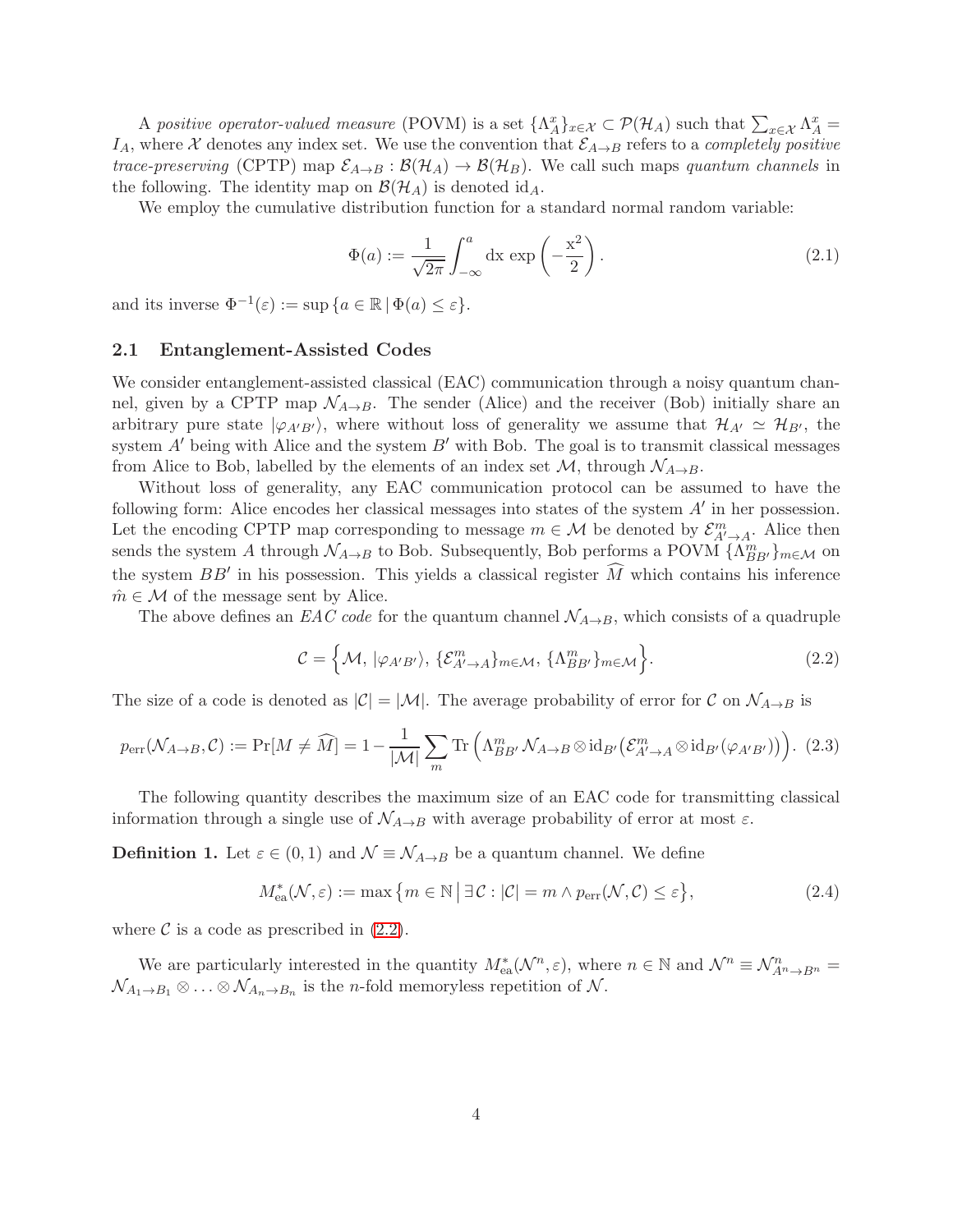A *positive operator-valued measure* (POVM) is a set  $\{\Lambda_A^x\}_{x \in \mathcal{X}} \subset \mathcal{P}(\mathcal{H}_A)$  such that  $\sum_{x \in \mathcal{X}} \Lambda_A^x =$  $I_A$ , where X denotes any index set. We use the convention that  $\mathcal{E}_{A\to B}$  refers to a *completely positive trace-preserving* (CPTP) map  $\mathcal{E}_{A\to B}$ :  $\mathcal{B}(\mathcal{H}_A) \to \mathcal{B}(\mathcal{H}_B)$ . We call such maps *quantum channels* in the following. The identity map on  $\mathcal{B}(\mathcal{H}_A)$  is denoted id<sub>A</sub>.

We employ the cumulative distribution function for a standard normal random variable:

$$
\Phi(a) := \frac{1}{\sqrt{2\pi}} \int_{-\infty}^{a} dx \exp\left(-\frac{x^2}{2}\right).
$$
\n(2.1)

and its inverse  $\Phi^{-1}(\varepsilon) := \sup \{a \in \mathbb{R} \mid \Phi(a) \leq \varepsilon\}.$ 

#### 2.1 Entanglement-Assisted Codes

We consider entanglement-assisted classical (EAC) communication through a noisy quantum channel, given by a CPTP map  $\mathcal{N}_{A\rightarrow B}$ . The sender (Alice) and the receiver (Bob) initially share an arbitrary pure state  $|\varphi_{A'B'}\rangle$ , where without loss of generality we assume that  $\mathcal{H}_{A'} \simeq \mathcal{H}_{B'}$ , the system  $A'$  being with Alice and the system  $B'$  with Bob. The goal is to transmit classical messages from Alice to Bob, labelled by the elements of an index set  $\mathcal{M}$ , through  $\mathcal{N}_{A\rightarrow B}$ .

Without loss of generality, any EAC communication protocol can be assumed to have the following form: Alice encodes her classical messages into states of the system  $A'$  in her possession. Let the encoding CPTP map corresponding to message  $m \in \mathcal{M}$  be denoted by  $\mathcal{E}_{A',A}^m$ . Alice then sends the system A through  $\mathcal{N}_{A\to B}$  to Bob. Subsequently, Bob performs a POVM  $\{\Lambda_{BB'}^m\}_{m\in\mathcal{M}}$  on the system  $BB'$  in his possession. This yields a classical register M which contains his inference  $\hat{m} \in \mathcal{M}$  of the message sent by Alice.

The above defines an *EAC code* for the quantum channel  $\mathcal{N}_{A\rightarrow B}$ , which consists of a quadruple

<span id="page-4-0"></span>
$$
\mathcal{C} = \left\{ \mathcal{M}, \, |\varphi_{A'B'}\rangle, \, \{ \mathcal{E}_{A'\to A}^m \}_{m\in\mathcal{M}}, \, \{ \Lambda_{BB'}^m \}_{m\in\mathcal{M}} \right\}.
$$

The size of a code is denoted as  $|\mathcal{C}| = |\mathcal{M}|$ . The average probability of error for  $\mathcal{C}$  on  $\mathcal{N}_{A\to B}$  is

$$
p_{\text{err}}(\mathcal{N}_{A\to B}, \mathcal{C}) := \Pr[M \neq \widehat{M}] = 1 - \frac{1}{|\mathcal{M}|} \sum_{m} \text{Tr}\left(\Lambda_{BB'}^{m} \mathcal{N}_{A\to B} \otimes \text{id}_{B'}\left(\mathcal{E}_{A'\to A}^{m} \otimes \text{id}_{B'}(\varphi_{A'B'})\right)\right). (2.3)
$$

The following quantity describes the maximum size of an EAC code for transmitting classical information through a single use of  $\mathcal{N}_{A\rightarrow B}$  with average probability of error at most  $\varepsilon$ .

**Definition 1.** Let  $\varepsilon \in (0,1)$  and  $\mathcal{N} \equiv \mathcal{N}_{A\rightarrow B}$  be a quantum channel. We define

$$
M_{\text{ea}}^*(\mathcal{N}, \varepsilon) := \max \left\{ m \in \mathbb{N} \, \middle| \, \exists \mathcal{C} : |\mathcal{C}| = m \land p_{\text{err}}(\mathcal{N}, \mathcal{C}) \le \varepsilon \right\},\tag{2.4}
$$

where  $\mathcal C$  is a code as prescribed in  $(2.2)$ .

We are particularly interested in the quantity  $M_{ea}^{*}(\mathcal{N}^{n}, \varepsilon)$ , where  $n \in \mathbb{N}$  and  $\mathcal{N}^{n} \equiv \mathcal{N}_{A^{n} \to B^{n}}^{n}$  $\mathcal{N}_{A_1\to B_1}\otimes\ldots\otimes\mathcal{N}_{A_n\to B_n}$  is the *n*-fold memoryless repetition of  $\mathcal{N}$ .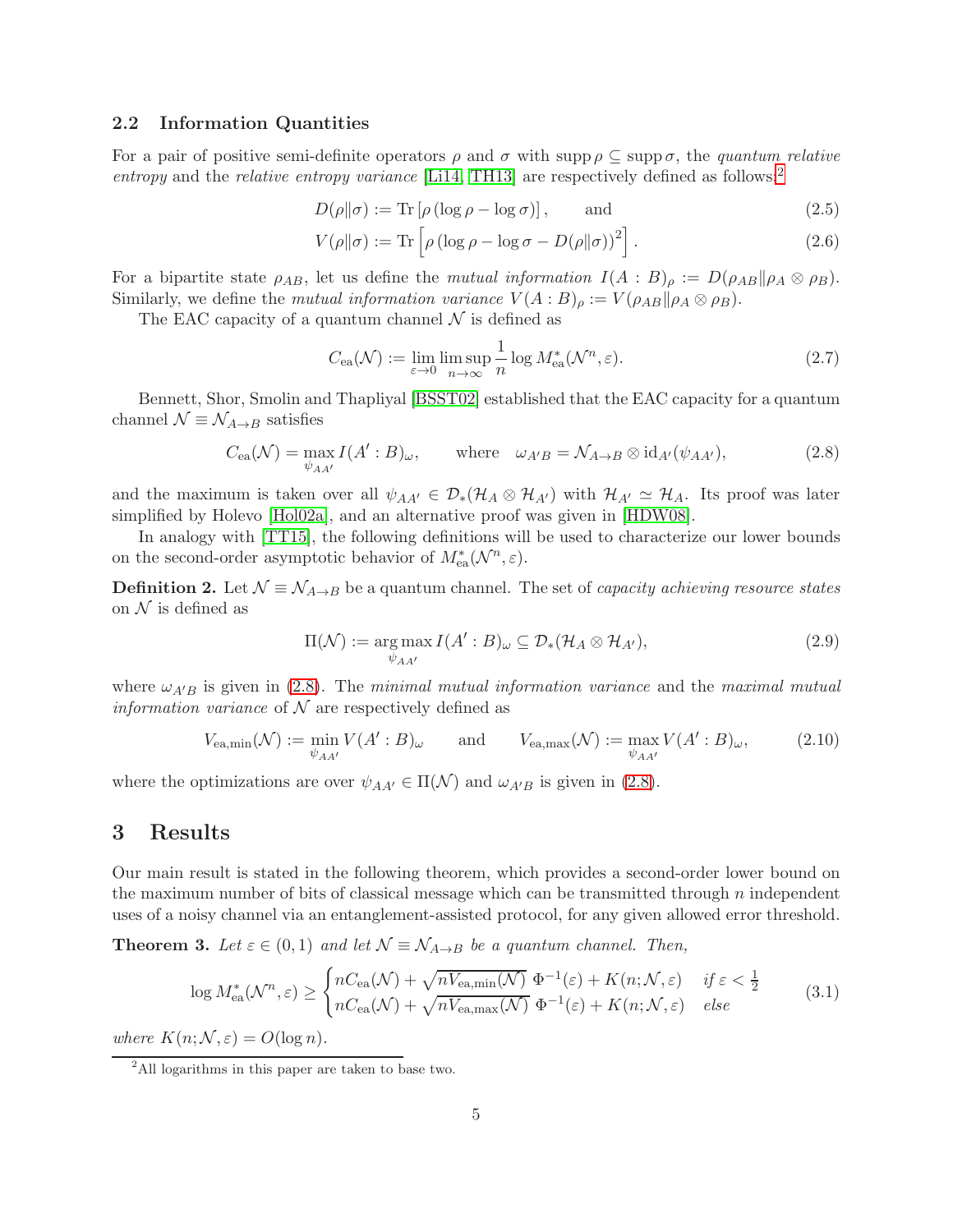#### 2.2 Information Quantities

For a pair of positive semi-definite operators  $\rho$  and  $\sigma$  with supp  $\rho \subset \text{supp }\sigma$ , the *quantum relative entropy* and the *relative entropy variance* [\[Li14,](#page-20-11) [TH13\]](#page-21-1) are respectively defined as follows:[2](#page-5-2)

$$
D(\rho \|\sigma) := \text{Tr} \left[ \rho \left( \log \rho - \log \sigma \right) \right], \quad \text{and} \tag{2.5}
$$

$$
V(\rho||\sigma) := \text{Tr}\left[\rho \left(\log \rho - \log \sigma - D(\rho||\sigma)\right)^2\right].\tag{2.6}
$$

For a bipartite state  $\rho_{AB}$ , let us define the *mutual information*  $I(A : B)_{\rho} := D(\rho_{AB}||\rho_A \otimes \rho_B)$ . Similarly, we define the *mutual information variance*  $V(A:B)_{\rho} := V(\rho_{AB}||\rho_A \otimes \rho_B)$ .

The EAC capacity of a quantum channel  $\mathcal N$  is defined as

<span id="page-5-3"></span>
$$
C_{\text{ea}}(\mathcal{N}) := \lim_{\varepsilon \to 0} \limsup_{n \to \infty} \frac{1}{n} \log M_{\text{ea}}^*(\mathcal{N}^n, \varepsilon). \tag{2.7}
$$

Bennett, Shor, Smolin and Thapliyal [\[BSST02\]](#page-18-1) established that the EAC capacity for a quantum channel  $\mathcal{N} \equiv \mathcal{N}_{A\rightarrow B}$  satisfies

$$
C_{\text{ea}}(\mathcal{N}) = \max_{\psi_{AA'}} I(A':B)_{\omega}, \qquad \text{where} \quad \omega_{A'B} = \mathcal{N}_{A \to B} \otimes \text{id}_{A'}(\psi_{AA'}), \tag{2.8}
$$

and the maximum is taken over all  $\psi_{AA'} \in \mathcal{D}_*(\mathcal{H}_A \otimes \mathcal{H}_{A'})$  with  $\mathcal{H}_{A'} \simeq \mathcal{H}_A$ . Its proof was later simplified by Holevo [\[Hol02a\]](#page-19-7), and an alternative proof was given in [\[HDW08\]](#page-19-8).

In analogy with [\[TT15\]](#page-21-0), the following definitions will be used to characterize our lower bounds on the second-order asymptotic behavior of  $M^*_{\text{ea}}(\mathcal{N}^n, \varepsilon)$ .

**Definition 2.** Let  $\mathcal{N} \equiv \mathcal{N}_{A\rightarrow B}$  be a quantum channel. The set of *capacity achieving resource states* on  $\mathcal N$  is defined as

<span id="page-5-4"></span>
$$
\Pi(\mathcal{N}) := \underset{\psi_{AA'}}{\arg \max} I(A' : B)_{\omega} \subseteq \mathcal{D}_{*}(\mathcal{H}_{A} \otimes \mathcal{H}_{A'}),
$$
\n(2.9)

where  $\omega_{A'B}$  is given in [\(2.8\)](#page-5-3). The *minimal mutual information variance* and the *maximal mutual information variance* of  $N$  are respectively defined as

$$
V_{\text{ea,min}}(\mathcal{N}) := \min_{\psi_{AA'}} V(A':B)_{\omega} \quad \text{and} \quad V_{\text{ea,max}}(\mathcal{N}) := \max_{\psi_{AA'}} V(A':B)_{\omega}, \quad (2.10)
$$

where the optimizations are over  $\psi_{AA'} \in \Pi(\mathcal{N})$  and  $\omega_{A'B}$  is given in [\(2.8\)](#page-5-3).

## <span id="page-5-1"></span>3 Results

Our main result is stated in the following theorem, which provides a second-order lower bound on the maximum number of bits of classical message which can be transmitted through  $n$  independent uses of a noisy channel via an entanglement-assisted protocol, for any given allowed error threshold.

<span id="page-5-0"></span>**Theorem 3.** Let  $\varepsilon \in (0,1)$  and let  $\mathcal{N} \equiv \mathcal{N}_{A\rightarrow B}$  be a quantum channel. Then,

$$
\log M_{\text{ea}}^*(\mathcal{N}^n, \varepsilon) \ge \begin{cases} nC_{\text{ea}}(\mathcal{N}) + \sqrt{nV_{\text{ea,min}}(\mathcal{N})} \ \Phi^{-1}(\varepsilon) + K(n; \mathcal{N}, \varepsilon) & \text{if } \varepsilon < \frac{1}{2} \\ nC_{\text{ea}}(\mathcal{N}) + \sqrt{nV_{\text{ea,max}}(\mathcal{N})} \ \Phi^{-1}(\varepsilon) + K(n; \mathcal{N}, \varepsilon) & \text{else} \end{cases} \tag{3.1}
$$

*where*  $K(n; \mathcal{N}, \varepsilon) = O(\log n)$ *.* 

<span id="page-5-2"></span><sup>2</sup>All logarithms in this paper are taken to base two.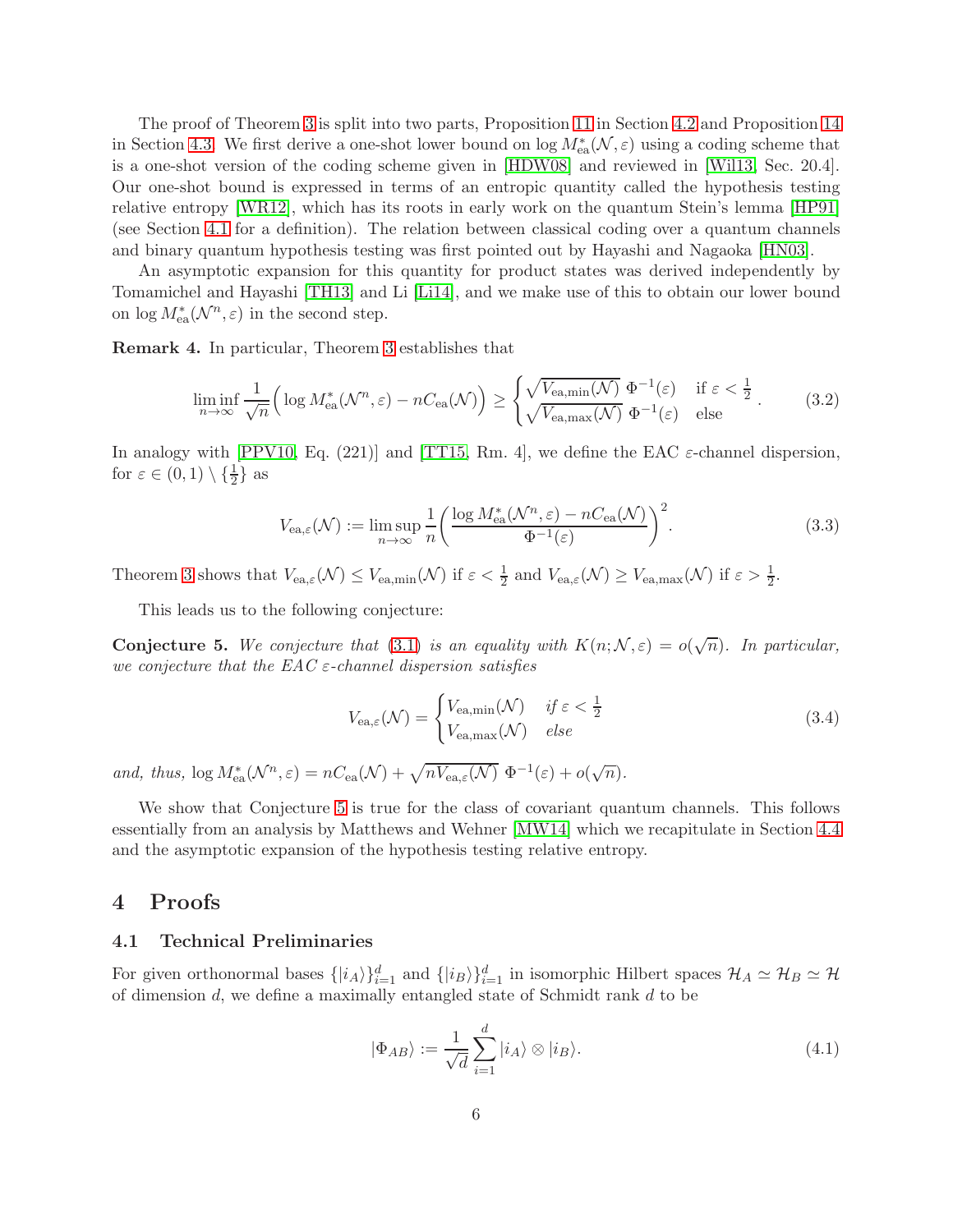The proof of Theorem [3](#page-5-0) is split into two parts, Proposition [11](#page-9-0) in Section [4.2](#page-9-1) and Proposition [14](#page-12-0) in Section [4.3.](#page-12-1) We first derive a one-shot lower bound on  $\log M_{\text{ea}}^*(\mathcal{N}, \varepsilon)$  using a coding scheme that is a one-shot version of the coding scheme given in [\[HDW08\]](#page-19-8) and reviewed in [\[Wil13,](#page-21-2) Sec. 20.4]. Our one-shot bound is expressed in terms of an entropic quantity called the hypothesis testing relative entropy [\[WR12\]](#page-21-3), which has its roots in early work on the quantum Stein's lemma [\[HP91\]](#page-20-12) (see Section [4.1](#page-6-1) for a definition). The relation between classical coding over a quantum channels and binary quantum hypothesis testing was first pointed out by Hayashi and Nagaoka [\[HN03\]](#page-19-9).

An asymptotic expansion for this quantity for product states was derived independently by Tomamichel and Hayashi [\[TH13\]](#page-21-1) and Li [\[Li14\]](#page-20-11), and we make use of this to obtain our lower bound on  $\log M_{\rm ea}^*(\mathcal{N}^n, \varepsilon)$  in the second step.

Remark 4. In particular, Theorem [3](#page-5-0) establishes that

$$
\liminf_{n \to \infty} \frac{1}{\sqrt{n}} \Big( \log M_{\text{ea}}^*(\mathcal{N}^n, \varepsilon) - nC_{\text{ea}}(\mathcal{N}) \Big) \ge \begin{cases} \sqrt{V_{\text{ea,min}}(\mathcal{N})} \ \Phi^{-1}(\varepsilon) & \text{if } \varepsilon < \frac{1}{2} \\ \sqrt{V_{\text{ea,max}}(\mathcal{N})} \ \Phi^{-1}(\varepsilon) & \text{else} \end{cases} \tag{3.2}
$$

In analogy with [\[PPV10,](#page-20-6) Eq. (221)] and [\[TT15,](#page-21-0) Rm. 4], we define the EAC  $\varepsilon$ -channel dispersion, for  $\varepsilon \in (0,1) \setminus \{\frac{1}{2}\}\$ as

$$
V_{\text{ea},\varepsilon}(\mathcal{N}) := \limsup_{n \to \infty} \frac{1}{n} \left( \frac{\log M_{\text{ea}}^*(\mathcal{N}^n, \varepsilon) - nC_{\text{ea}}(\mathcal{N})}{\Phi^{-1}(\varepsilon)} \right)^2.
$$
 (3.3)

Theorem [3](#page-5-0) shows that  $V_{ea,\varepsilon}(\mathcal{N}) \leq V_{ea,\min}(\mathcal{N})$  if  $\varepsilon < \frac{1}{2}$  and  $V_{ea,\varepsilon}(\mathcal{N}) \geq V_{ea,\max}(\mathcal{N})$  if  $\varepsilon > \frac{1}{2}$ .

This leads us to the following conjecture:

<span id="page-6-2"></span>**Conjecture 5.** We conjecture that [\(3.1\)](#page-5-4) is an equality with  $K(n; \mathcal{N}, \varepsilon) = o(\sqrt{n})$ . In particular, *we conjecture that the EAC* ε*-channel dispersion satisfies*

$$
V_{\text{ea},\varepsilon}(\mathcal{N}) = \begin{cases} V_{\text{ea,min}}(\mathcal{N}) & \text{if } \varepsilon < \frac{1}{2} \\ V_{\text{ea,max}}(\mathcal{N}) & \text{else} \end{cases} \tag{3.4}
$$

*and, thus,*  $\log M_{\text{ea}}^*(\mathcal{N}^n, \varepsilon) = nC_{\text{ea}}(\mathcal{N}) + \sqrt{nV_{\text{ea},\varepsilon}(\mathcal{N})} \Phi^{-1}(\varepsilon) + o(\sqrt{n}).$ 

We show that Conjecture [5](#page-6-2) is true for the class of covariant quantum channels. This follows essentially from an analysis by Matthews and Wehner [\[MW14\]](#page-20-10) which we recapitulate in Section [4.4](#page-14-0) and the asymptotic expansion of the hypothesis testing relative entropy.

## <span id="page-6-1"></span><span id="page-6-0"></span>4 Proofs

#### 4.1 Technical Preliminaries

For given orthonormal bases  $\{|i_A\rangle\}_{i=1}^d$  and  $\{|i_B\rangle\}_{i=1}^d$  in isomorphic Hilbert spaces  $\mathcal{H}_A \simeq \mathcal{H}_B \simeq \mathcal{H}$ of dimension  $d$ , we define a maximally entangled state of Schmidt rank  $d$  to be

$$
|\Phi_{AB}\rangle := \frac{1}{\sqrt{d}} \sum_{i=1}^{d} |i_A\rangle \otimes |i_B\rangle.
$$
 (4.1)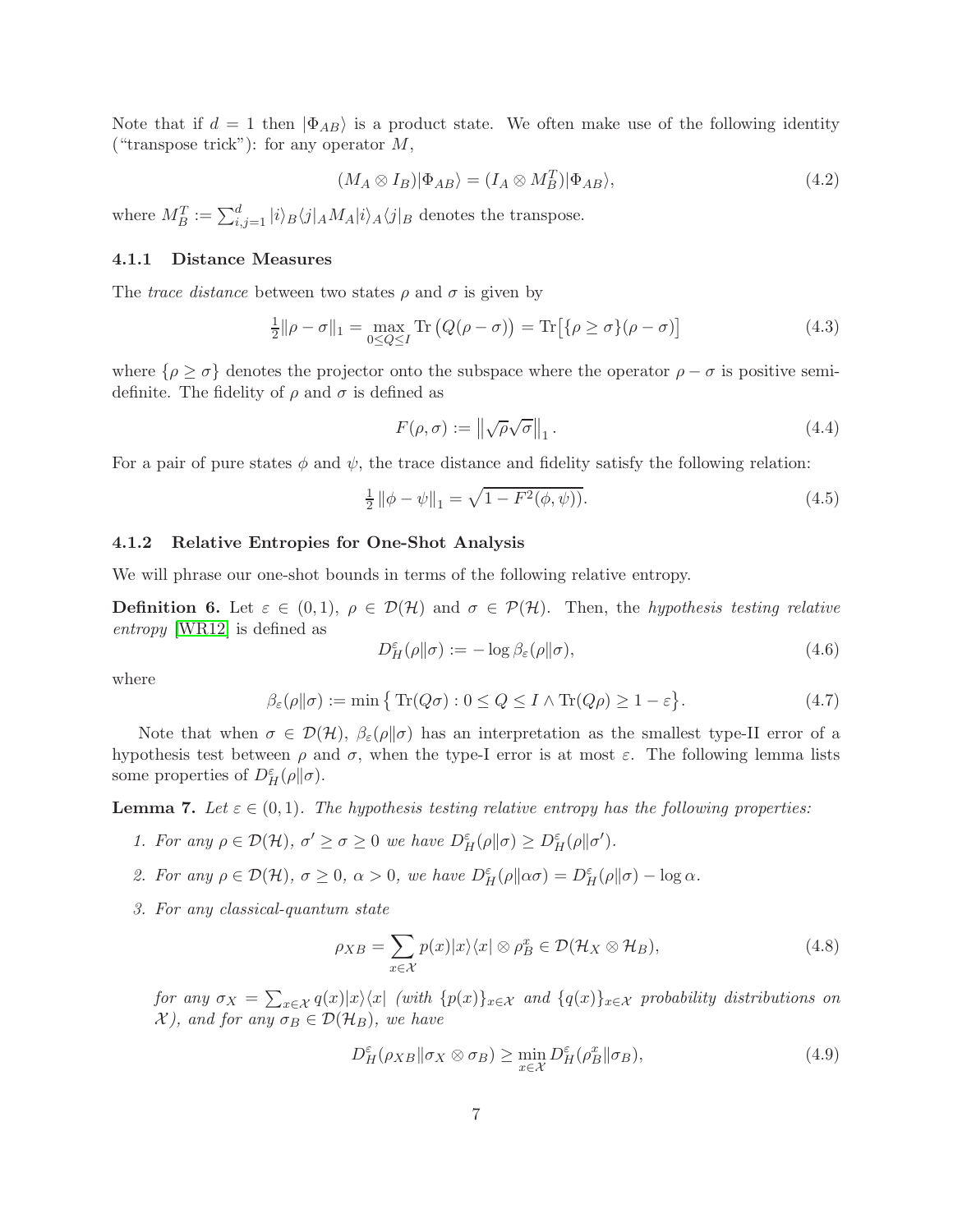Note that if  $d = 1$  then  $|\Phi_{AB}\rangle$  is a product state. We often make use of the following identity ("transpose trick"): for any operator  $M$ ,

<span id="page-7-2"></span>
$$
(M_A \otimes I_B)|\Phi_{AB}\rangle = (I_A \otimes M_B^T)|\Phi_{AB}\rangle,\tag{4.2}
$$

where  $M_B^T := \sum_{i,j=1}^d |i\rangle_B \langle j|_A M_A |i\rangle_A \langle j|_B$  denotes the transpose.

#### 4.1.1 Distance Measures

The *trace distance* between two states  $\rho$  and  $\sigma$  is given by

$$
\frac{1}{2} \|\rho - \sigma\|_1 = \max_{0 \le Q \le I} \text{Tr}\left(Q(\rho - \sigma)\right) = \text{Tr}\left[\{\rho \ge \sigma\}(\rho - \sigma)\right] \tag{4.3}
$$

where  $\{\rho \geq \sigma\}$  denotes the projector onto the subspace where the operator  $\rho - \sigma$  is positive semidefinite. The fidelity of  $\rho$  and  $\sigma$  is defined as

<span id="page-7-0"></span>
$$
F(\rho, \sigma) := \left\| \sqrt{\rho} \sqrt{\sigma} \right\|_1. \tag{4.4}
$$

For a pair of pure states  $\phi$  and  $\psi$ , the trace distance and fidelity satisfy the following relation:

$$
\frac{1}{2} \|\phi - \psi\|_1 = \sqrt{1 - F^2(\phi, \psi)}.
$$
\n(4.5)

#### 4.1.2 Relative Entropies for One-Shot Analysis

We will phrase our one-shot bounds in terms of the following relative entropy.

**Definition 6.** Let  $\varepsilon \in (0,1)$ ,  $\rho \in \mathcal{D}(\mathcal{H})$  and  $\sigma \in \mathcal{P}(\mathcal{H})$ . Then, the *hypothesis testing relative entropy* [\[WR12\]](#page-21-3) is defined as

$$
D_H^{\varepsilon}(\rho \| \sigma) := -\log \beta_{\varepsilon}(\rho \| \sigma), \tag{4.6}
$$

where

<span id="page-7-3"></span>
$$
\beta_{\varepsilon}(\rho \| \sigma) := \min \left\{ \text{Tr}(Q\sigma) : 0 \le Q \le I \wedge \text{Tr}(Q\rho) \ge 1 - \varepsilon \right\}. \tag{4.7}
$$

Note that when  $\sigma \in \mathcal{D}(\mathcal{H}), \beta_{\varepsilon}(\rho||\sigma)$  has an interpretation as the smallest type-II error of a hypothesis test between  $\rho$  and  $\sigma$ , when the type-I error is at most  $\varepsilon$ . The following lemma lists some properties of  $D_H^{\varepsilon}(\rho\|\sigma)$ .

<span id="page-7-1"></span>**Lemma 7.** Let  $\varepsilon \in (0,1)$ . The hypothesis testing relative entropy has the following properties:

- *1. For any*  $\rho \in \mathcal{D}(\mathcal{H}), \sigma' \geq \sigma \geq 0$  *we have*  $D^{\varepsilon}_{H}(\rho \|\sigma) \geq D^{\varepsilon}_{H}(\rho \|\sigma').$
- 2. For any  $\rho \in \mathcal{D}(\mathcal{H}), \sigma \ge 0, \alpha > 0$ , we have  $D^{\varepsilon}_{H}(\rho \| \alpha \sigma) = D^{\varepsilon}_{H}(\rho \| \sigma) \log \alpha$ .
- *3. For any classical-quantum state*

$$
\rho_{XB} = \sum_{x \in \mathcal{X}} p(x)|x\rangle\langle x| \otimes \rho_B^x \in \mathcal{D}(\mathcal{H}_X \otimes \mathcal{H}_B),\tag{4.8}
$$

*for any*  $\sigma_X = \sum_{x \in \mathcal{X}} q(x)|x\rangle\langle x|$  *(with*  $\{p(x)\}_{x \in \mathcal{X}}$  *and*  $\{q(x)\}_{x \in \mathcal{X}}$  *probability distributions on*  $\mathcal{X}$ *), and for any*  $\sigma_B \in \mathcal{D}(\mathcal{H}_B)$ *, we have* 

$$
D_H^{\varepsilon}(\rho_{XB} \| \sigma_X \otimes \sigma_B) \ge \min_{x \in \mathcal{X}} D_H^{\varepsilon}(\rho_B^x \| \sigma_B), \tag{4.9}
$$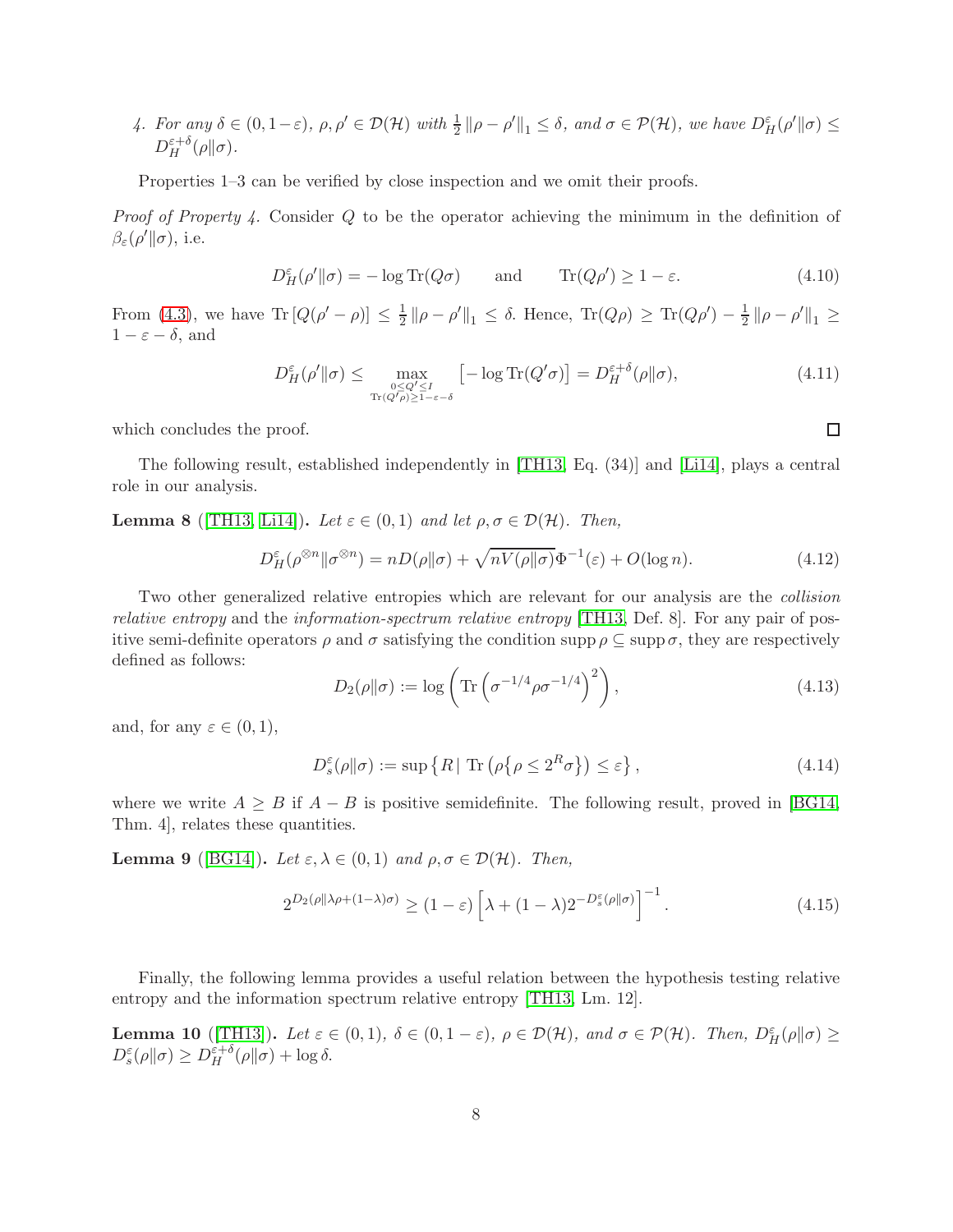*4. For any*  $\delta \in (0, 1-\varepsilon)$ ,  $\rho, \rho' \in \mathcal{D}(\mathcal{H})$  with  $\frac{1}{2} \|\rho - \rho'\|_1 \leq \delta$ , and  $\sigma \in \mathcal{P}(\mathcal{H})$ , we have  $D_H^{\varepsilon}(\rho' \|\sigma) \leq$  $D_H^{\varepsilon+\delta}$  $_{H}^{\varepsilon+\delta}(\rho\|\sigma).$ 

Properties 1–3 can be verified by close inspection and we omit their proofs.

*Proof of Property 4.* Consider Q to be the operator achieving the minimum in the definition of  $\beta_{\varepsilon}(\rho' \| \sigma)$ , i.e.

$$
D_H^{\varepsilon}(\rho' \| \sigma) = -\log \text{Tr}(Q\sigma) \quad \text{and} \quad \text{Tr}(Q\rho') \ge 1 - \varepsilon. \tag{4.10}
$$

From [\(4.3\)](#page-7-0), we have  $\text{Tr}\left[Q(\rho'-\rho)\right] \leq \frac{1}{2}$  $\frac{1}{2} \|\rho - \rho'\|_1 \leq \delta$ . Hence,  $\text{Tr}(Q\rho) \geq \text{Tr}(Q\rho') - \frac{1}{2}$  $\frac{1}{2} \|\rho - \rho'\|_1 \geq$  $1 - \varepsilon - \delta$ , and

$$
D_H^{\varepsilon}(\rho' \| \sigma) \le \max_{\substack{0 \le Q' \le I \\ \text{Tr}(Q' \rho) \ge 1 - \varepsilon - \delta}} \left[ -\log \text{Tr}(Q' \sigma) \right] = D_H^{\varepsilon + \delta}(\rho \| \sigma), \tag{4.11}
$$

which concludes the proof.

The following result, established independently in [\[TH13,](#page-21-1) Eq. (34)] and [\[Li14\]](#page-20-11), plays a central role in our analysis.

<span id="page-8-2"></span>**Lemma 8** ([\[TH13,](#page-21-1) [Li14\]](#page-20-11)). *Let*  $\varepsilon \in (0,1)$  *and let*  $\rho, \sigma \in \mathcal{D}(\mathcal{H})$ *. Then,* 

$$
D_H^{\varepsilon}(\rho^{\otimes n}||\sigma^{\otimes n}) = nD(\rho||\sigma) + \sqrt{nV(\rho||\sigma)}\Phi^{-1}(\varepsilon) + O(\log n). \tag{4.12}
$$

Two other generalized relative entropies which are relevant for our analysis are the *collision relative entropy* and the *information-spectrum relative entropy* [\[TH13,](#page-21-1) Def. 8]. For any pair of positive semi-definite operators  $\rho$  and  $\sigma$  satisfying the condition supp  $\rho \subseteq \text{supp }\sigma$ , they are respectively defined as follows:

$$
D_2(\rho \| \sigma) := \log \left( \text{Tr} \left( \sigma^{-1/4} \rho \sigma^{-1/4} \right)^2 \right), \tag{4.13}
$$

and, for any  $\varepsilon \in (0,1)$ ,

$$
D_s^{\varepsilon}(\rho \| \sigma) := \sup \left\{ R \mid \text{Tr} \left( \rho \{ \rho \le 2^R \sigma \} \right) \le \varepsilon \right\},\tag{4.14}
$$

where we write  $A \geq B$  if  $A - B$  is positive semidefinite. The following result, proved in [\[BG14,](#page-18-6) Thm. 4], relates these quantities.

**Lemma 9** ([\[BG14\]](#page-18-6)). *Let*  $\varepsilon, \lambda \in (0,1)$  *and*  $\rho, \sigma \in \mathcal{D}(\mathcal{H})$ *. Then,* 

<span id="page-8-0"></span>
$$
2^{D_2(\rho||\lambda\rho + (1-\lambda)\sigma)} \ge (1-\varepsilon) \left[\lambda + (1-\lambda)2^{-D_s^{\varepsilon}(\rho||\sigma)}\right]^{-1}.
$$
\n(4.15)

Finally, the following lemma provides a useful relation between the hypothesis testing relative entropy and the information spectrum relative entropy [\[TH13,](#page-21-1) Lm. 12].

<span id="page-8-1"></span>**Lemma 10** ([\[TH13\]](#page-21-1)). Let  $\varepsilon \in (0,1)$ ,  $\delta \in (0,1-\varepsilon)$ ,  $\rho \in \mathcal{D}(\mathcal{H})$ , and  $\sigma \in \mathcal{P}(\mathcal{H})$ . Then,  $D_H^{\varepsilon}(\rho||\sigma) \ge$  $D_s^{\varepsilon}(\rho\|\sigma) \geq D_H^{\varepsilon+\delta}(\rho\|\sigma) + \log \delta.$ 

 $\Box$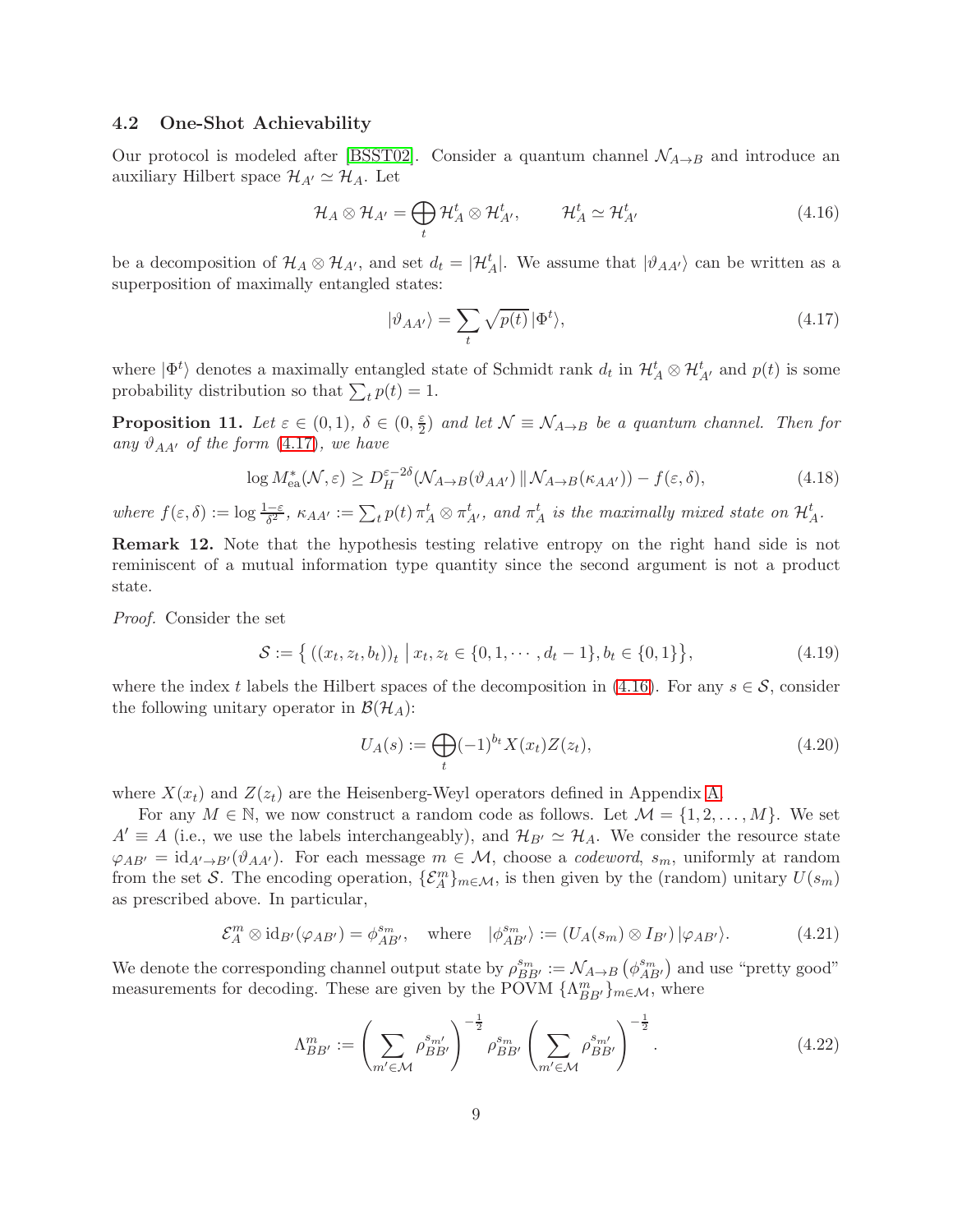#### <span id="page-9-1"></span>4.2 One-Shot Achievability

Our protocol is modeled after [\[BSST02\]](#page-18-1). Consider a quantum channel  $\mathcal{N}_{A\rightarrow B}$  and introduce an auxiliary Hilbert space  $\mathcal{H}_{A'} \simeq \mathcal{H}_A$ . Let

<span id="page-9-3"></span>
$$
\mathcal{H}_A \otimes \mathcal{H}_{A'} = \bigoplus_t \mathcal{H}_A^t \otimes \mathcal{H}_{A'}^t, \qquad \mathcal{H}_A^t \simeq \mathcal{H}_{A'}^t \qquad (4.16)
$$

be a decomposition of  $\mathcal{H}_A \otimes \mathcal{H}_{A'}$ , and set  $d_t = |\mathcal{H}_A^t|$ . We assume that  $|\vartheta_{AA'}\rangle$  can be written as a superposition of maximally entangled states:

<span id="page-9-2"></span>
$$
|\vartheta_{AA'}\rangle = \sum_{t} \sqrt{p(t)} \, |\Phi^t\rangle,\tag{4.17}
$$

where  $|\Phi^t\rangle$  denotes a maximally entangled state of Schmidt rank  $d_t$  in  $\mathcal{H}_A^t \otimes \mathcal{H}_{A'}^t$  and  $p(t)$  is some probability distribution so that  $\sum_t p(t) = 1$ .

<span id="page-9-0"></span>**Proposition 11.** Let  $\varepsilon \in (0,1)$ ,  $\delta \in (0, \frac{\varepsilon}{2})$  $\frac{\varepsilon}{2}$ ) and let  $\mathcal{N} \equiv \mathcal{N}_{A\rightarrow B}$  be a quantum channel. Then for *any*  $\vartheta_{AA'}$  *of the form* [\(4.17\)](#page-9-2)*, we have* 

$$
\log M_{\text{ea}}^*(\mathcal{N}, \varepsilon) \ge D_H^{\varepsilon - 2\delta}(\mathcal{N}_{A \to B}(\vartheta_{AA'}) \, \| \, \mathcal{N}_{A \to B}(\kappa_{AA'})) - f(\varepsilon, \delta), \tag{4.18}
$$

where  $f(\varepsilon,\delta) := \log \frac{1-\varepsilon}{\delta^2}$ ,  $\kappa_{AA'} := \sum_t p(t) \pi_A^t \otimes \pi_{A'}^t$ , and  $\pi_A^t$  is the maximally mixed state on  $\mathcal{H}_A^t$ .

Remark 12. Note that the hypothesis testing relative entropy on the right hand side is not reminiscent of a mutual information type quantity since the second argument is not a product state.

*Proof.* Consider the set

$$
S := \left\{ \left( (x_t, z_t, b_t) \right)_t \, \middle| \, x_t, z_t \in \{0, 1, \cdots, d_t - 1\}, b_t \in \{0, 1\} \right\},\tag{4.19}
$$

where the index t labels the Hilbert spaces of the decomposition in [\(4.16\)](#page-9-3). For any  $s \in \mathcal{S}$ , consider the following unitary operator in  $\mathcal{B}(\mathcal{H}_{A})$ :

<span id="page-9-6"></span><span id="page-9-4"></span>
$$
U_A(s) := \bigoplus_t (-1)^{b_t} X(x_t) Z(z_t), \tag{4.20}
$$

where  $X(x_t)$  and  $Z(z_t)$  are the Heisenberg-Weyl operators defined in Appendix [A.](#page-17-0)

For any  $M \in \mathbb{N}$ , we now construct a random code as follows. Let  $\mathcal{M} = \{1, 2, ..., M\}$ . We set  $A' \equiv A$  (i.e., we use the labels interchangeably), and  $\mathcal{H}_{B'} \simeq \mathcal{H}_A$ . We consider the resource state  $\varphi_{AB'} = \mathrm{id}_{A'\to B'}(\vartheta_{AA'})$ . For each message  $m \in \mathcal{M}$ , choose a *codeword*,  $s_m$ , uniformly at random from the set S. The encoding operation,  $\{\mathcal{E}_A^m\}_{m\in\mathcal{M}}$ , is then given by the (random) unitary  $U(s_m)$ as prescribed above. In particular,

$$
\mathcal{E}_A^m \otimes \mathrm{id}_{B'}(\varphi_{AB'}) = \phi_{AB'}^{s_m}, \quad \text{where} \quad |\phi_{AB'}^{s_m}\rangle := (U_A(s_m) \otimes I_{B'}) |\varphi_{AB'}\rangle. \tag{4.21}
$$

We denote the corresponding channel output state by  $\rho_{BB'}^{s_m} := \mathcal{N}_{A\to B}(\phi_{AB'}^{s_m})$  and use "pretty good" measurements for decoding. These are given by the POVM  $\{\Lambda_{BB'}^m\}_{m\in\mathcal{M}}$ , where

<span id="page-9-5"></span>
$$
\Lambda_{BB'}^{m} := \left(\sum_{m' \in \mathcal{M}} \rho_{BB'}^{s_{m'}}\right)^{-\frac{1}{2}} \rho_{BB'}^{s_m} \left(\sum_{m' \in \mathcal{M}} \rho_{BB'}^{s_{m'}}\right)^{-\frac{1}{2}}.
$$
\n(4.22)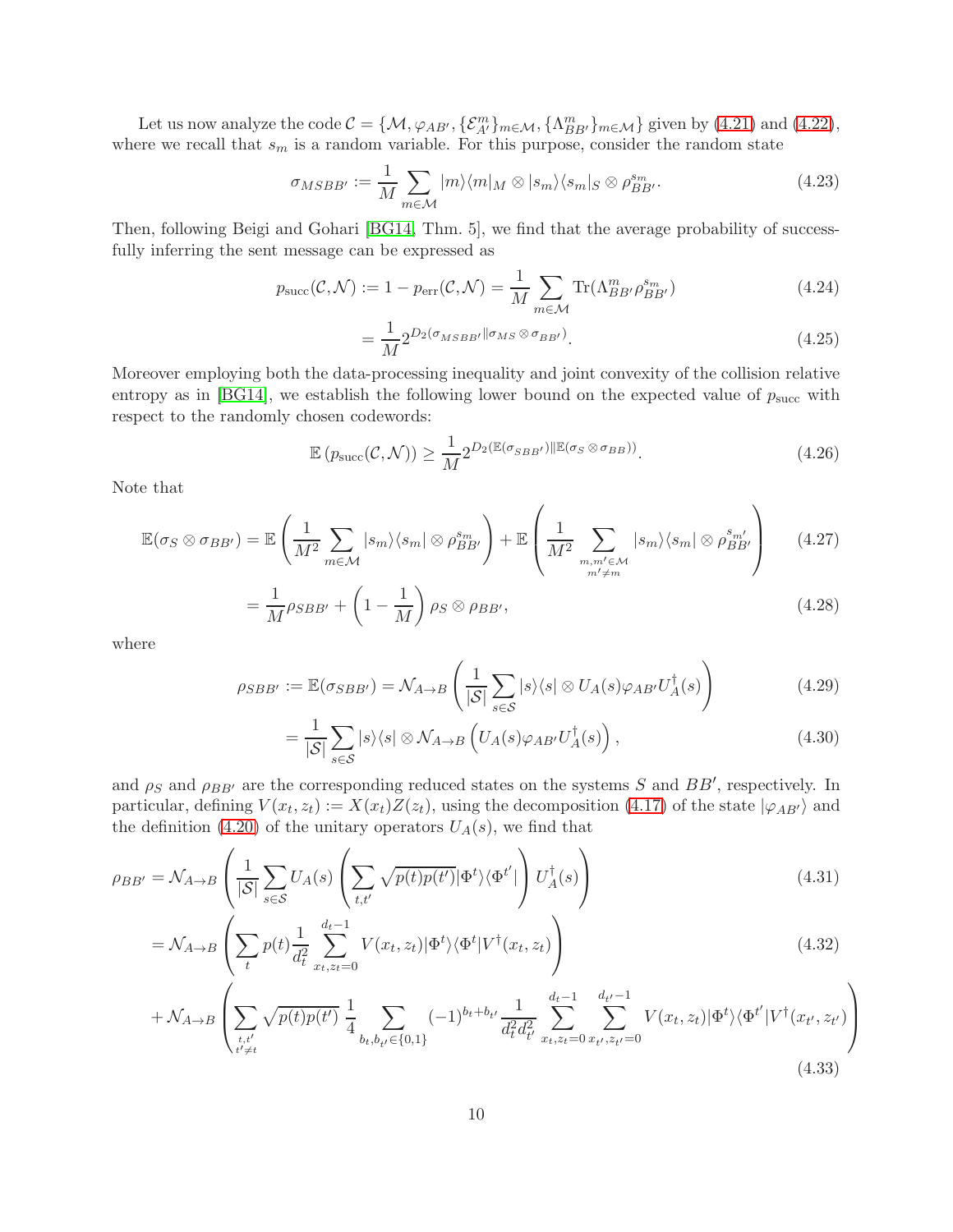Let us now analyze the code  $\mathcal{C} = \{M, \varphi_{AB'}, \{\mathcal{E}_{A'}^m\}_{m \in \mathcal{M}}, \{\Lambda_{BB'}^m\}_{m \in \mathcal{M}}\}$  given by [\(4.21\)](#page-9-4) and [\(4.22\)](#page-9-5), where we recall that  $s_m$  is a random variable. For this purpose, consider the random state

$$
\sigma_{MSBB'} := \frac{1}{M} \sum_{m \in \mathcal{M}} |m\rangle \langle m|_M \otimes |s_m\rangle \langle s_m|_S \otimes \rho_{BB'}^{s_m}.
$$
 (4.23)

Then, following Beigi and Gohari [\[BG14,](#page-18-6) Thm. 5], we find that the average probability of successfully inferring the sent message can be expressed as

$$
p_{succ}(\mathcal{C}, \mathcal{N}) := 1 - p_{err}(\mathcal{C}, \mathcal{N}) = \frac{1}{M} \sum_{m \in \mathcal{M}} \text{Tr}(\Lambda_{BB'}^m \rho_{BB'}^{s_m})
$$
(4.24)

$$
=\frac{1}{M}2^{D_2(\sigma_{MSBB'}\|\sigma_{MS}\otimes\sigma_{BB'})}.\tag{4.25}
$$

Moreover employing both the data-processing inequality and joint convexity of the collision relative entropy as in [\[BG14\]](#page-18-6), we establish the following lower bound on the expected value of  $p_{succ}$  with respect to the randomly chosen codewords:

$$
\mathbb{E}\left(p_{\text{succ}}(\mathcal{C},\mathcal{N})\right) \ge \frac{1}{M} 2^{D_2(\mathbb{E}(\sigma_{SBB'})\|\mathbb{E}(\sigma_S \otimes \sigma_{BB}))}.\tag{4.26}
$$

Note that

$$
\mathbb{E}(\sigma_S \otimes \sigma_{BB'}) = \mathbb{E}\left(\frac{1}{M^2} \sum_{m \in \mathcal{M}} |s_m\rangle\langle s_m| \otimes \rho_{BB'}^{s_m}\right) + \mathbb{E}\left(\frac{1}{M^2} \sum_{\substack{m,m' \in \mathcal{M} \\ m' \neq m}} |s_m\rangle\langle s_m| \otimes \rho_{BB'}^{s_{m'}}\right) \tag{4.27}
$$

$$
=\frac{1}{M}\rho_{SBB'} + \left(1 - \frac{1}{M}\right)\rho_S \otimes \rho_{BB'},\tag{4.28}
$$

where

$$
\rho_{SBB'} := \mathbb{E}(\sigma_{SBB'}) = \mathcal{N}_{A \to B} \left( \frac{1}{|\mathcal{S}|} \sum_{s \in \mathcal{S}} |s\rangle\langle s| \otimes U_A(s) \varphi_{AB'} U_A^{\dagger}(s) \right) \tag{4.29}
$$

<span id="page-10-0"></span>
$$
= \frac{1}{|\mathcal{S}|} \sum_{s \in \mathcal{S}} |s\rangle\langle s| \otimes \mathcal{N}_{A \to B} \left( U_A(s) \varphi_{AB'} U_A^{\dagger}(s) \right), \tag{4.30}
$$

and  $\rho_S$  and  $\rho_{BB'}$  are the corresponding reduced states on the systems S and  $BB'$ , respectively. In particular, defining  $V(x_t, z_t) := X(x_t)Z(z_t)$ , using the decomposition [\(4.17\)](#page-9-2) of the state  $|\varphi_{AB'}\rangle$  and the definition [\(4.20\)](#page-9-6) of the unitary operators  $U_A(s)$ , we find that

$$
\rho_{BB'} = \mathcal{N}_{A \to B} \left( \frac{1}{|\mathcal{S}|} \sum_{s \in \mathcal{S}} U_A(s) \left( \sum_{t,t'} \sqrt{p(t)p(t')} |\Phi^t\rangle \langle \Phi^{t'}| \right) U_A^{\dagger}(s) \right) \tag{4.31}
$$

$$
= \mathcal{N}_{A \to B} \left( \sum_{t} p(t) \frac{1}{d_t^2} \sum_{x_t, z_t = 0}^{d_t - 1} V(x_t, z_t) |\Phi^t\rangle\langle\Phi^t| V^\dagger(x_t, z_t) \right) \tag{4.32}
$$

$$
+\mathcal{N}_{A\to B}\left(\sum_{t,t'}\sqrt{p(t)p(t')}\frac{1}{4}\sum_{b_t,b_{t'}\in\{0,1\}}(-1)^{b_t+b_{t'}}\frac{1}{d_t^2d_{t'}^2}\sum_{x_t,z_t=0}^{d_t-1}\sum_{x_{t'},z_{t'}=0}^{d_{t'}-1}V(x_t,z_t)|\Phi^t\rangle\langle\Phi^{t'}|V^{\dagger}(x_{t'},z_{t'})\right)
$$
\n(4.33)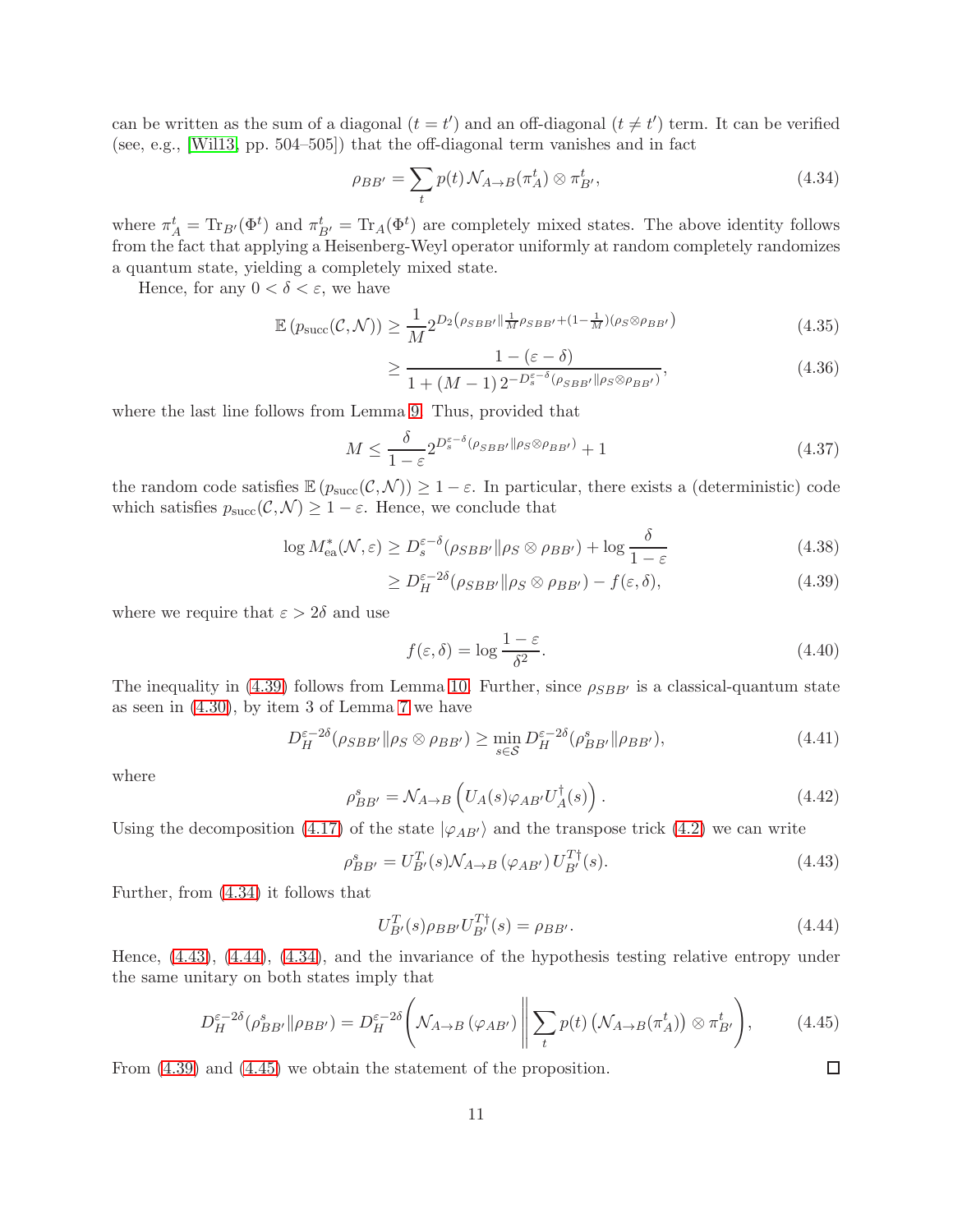can be written as the sum of a diagonal  $(t = t')$  and an off-diagonal  $(t \neq t')$  term. It can be verified (see, e.g., [\[Wil13,](#page-21-2) pp. 504–505]) that the off-diagonal term vanishes and in fact

<span id="page-11-1"></span>
$$
\rho_{BB'} = \sum_{t} p(t) \mathcal{N}_{A \to B}(\pi_A^t) \otimes \pi_{B'}^t,\tag{4.34}
$$

where  $\pi_A^t = \text{Tr}_{B'}(\Phi^t)$  and  $\pi_{B'}^t = \text{Tr}_A(\Phi^t)$  are completely mixed states. The above identity follows from the fact that applying a Heisenberg-Weyl operator uniformly at random completely randomizes a quantum state, yielding a completely mixed state.

Hence, for any  $0 < \delta < \varepsilon$ , we have

$$
\mathbb{E}\left(p_{\text{succ}}(\mathcal{C},\mathcal{N})\right) \ge \frac{1}{M} 2^{D_2\left(\rho_{SBB'}\|\frac{1}{M}\rho_{SBB'} + (1-\frac{1}{M})(\rho_S \otimes \rho_{BB'})\right)}\tag{4.35}
$$

$$
\geq \frac{1 - (\varepsilon - \delta)}{1 + (M - 1)2^{-D_s^{\varepsilon - \delta}(\rho_{SBB'} || \rho_S \otimes \rho_{BB'})}},
$$
(4.36)

where the last line follows from Lemma [9.](#page-8-0) Thus, provided that

$$
M \le \frac{\delta}{1-\varepsilon} 2^{D_s^{\varepsilon-\delta}(\rho_{SBB'}||\rho_S \otimes \rho_{BB'})} + 1
$$
\n(4.37)

the random code satisfies  $\mathbb{E} (p_{succ}(\mathcal{C}, \mathcal{N})) \geq 1 - \varepsilon$ . In particular, there exists a (deterministic) code which satisfies  $p_{succ}(\mathcal{C}, \mathcal{N}) \geq 1 - \varepsilon$ . Hence, we conclude that

$$
\log M_{\text{ea}}^*(\mathcal{N}, \varepsilon) \ge D_s^{\varepsilon-\delta}(\rho_{SBB'} \|\rho_S \otimes \rho_{BB'}) + \log \frac{\delta}{1-\varepsilon} \tag{4.38}
$$

$$
\geq D_H^{\varepsilon - 2\delta}(\rho_{SBB'} || \rho_S \otimes \rho_{BB'}) - f(\varepsilon, \delta), \tag{4.39}
$$

where we require that  $\varepsilon > 2\delta$  and use

<span id="page-11-5"></span><span id="page-11-0"></span>
$$
f(\varepsilon, \delta) = \log \frac{1 - \varepsilon}{\delta^2}.
$$
\n(4.40)

The inequality in [\(4.39\)](#page-11-0) follows from Lemma [10.](#page-8-1) Further, since  $\rho_{SBB'}$  is a classical-quantum state as seen in [\(4.30\)](#page-10-0), by item 3 of Lemma [7](#page-7-1) we have

$$
D_H^{\varepsilon - 2\delta}(\rho_{SBB'} \| \rho_S \otimes \rho_{BB'}) \ge \min_{s \in \mathcal{S}} D_H^{\varepsilon - 2\delta}(\rho_{BB'}^s \| \rho_{BB'}), \tag{4.41}
$$

where

$$
\rho_{BB'}^s = \mathcal{N}_{A \to B} \left( U_A(s) \varphi_{AB'} U_A^\dagger(s) \right). \tag{4.42}
$$

Using the decomposition [\(4.17\)](#page-9-2) of the state  $|\varphi_{AB'}\rangle$  and the transpose trick [\(4.2\)](#page-7-2) we can write

<span id="page-11-2"></span>
$$
\rho_{BB'}^s = U_{B'}^T(s) \mathcal{N}_{A \to B} \left( \varphi_{AB'} \right) U_{B'}^{T\dagger}(s). \tag{4.43}
$$

Further, from [\(4.34\)](#page-11-1) it follows that

<span id="page-11-3"></span>
$$
U_{B'}^{T}(s)\rho_{BB'}U_{B'}^{T\dagger}(s) = \rho_{BB'}.
$$
\n(4.44)

<span id="page-11-4"></span> $\Box$ 

Hence, [\(4.43\)](#page-11-2), [\(4.44\)](#page-11-3), [\(4.34\)](#page-11-1), and the invariance of the hypothesis testing relative entropy under the same unitary on both states imply that

$$
D_H^{\varepsilon-2\delta}(\rho_{BB'}^s \| \rho_{BB'}) = D_H^{\varepsilon-2\delta} \left( \mathcal{N}_{A \to B} (\varphi_{AB'}) \middle\| \sum_t p(t) \left( \mathcal{N}_{A \to B} (\pi_A^t) \right) \otimes \pi_{B'}^t \right), \tag{4.45}
$$

From [\(4.39\)](#page-11-0) and [\(4.45\)](#page-11-4) we obtain the statement of the proposition.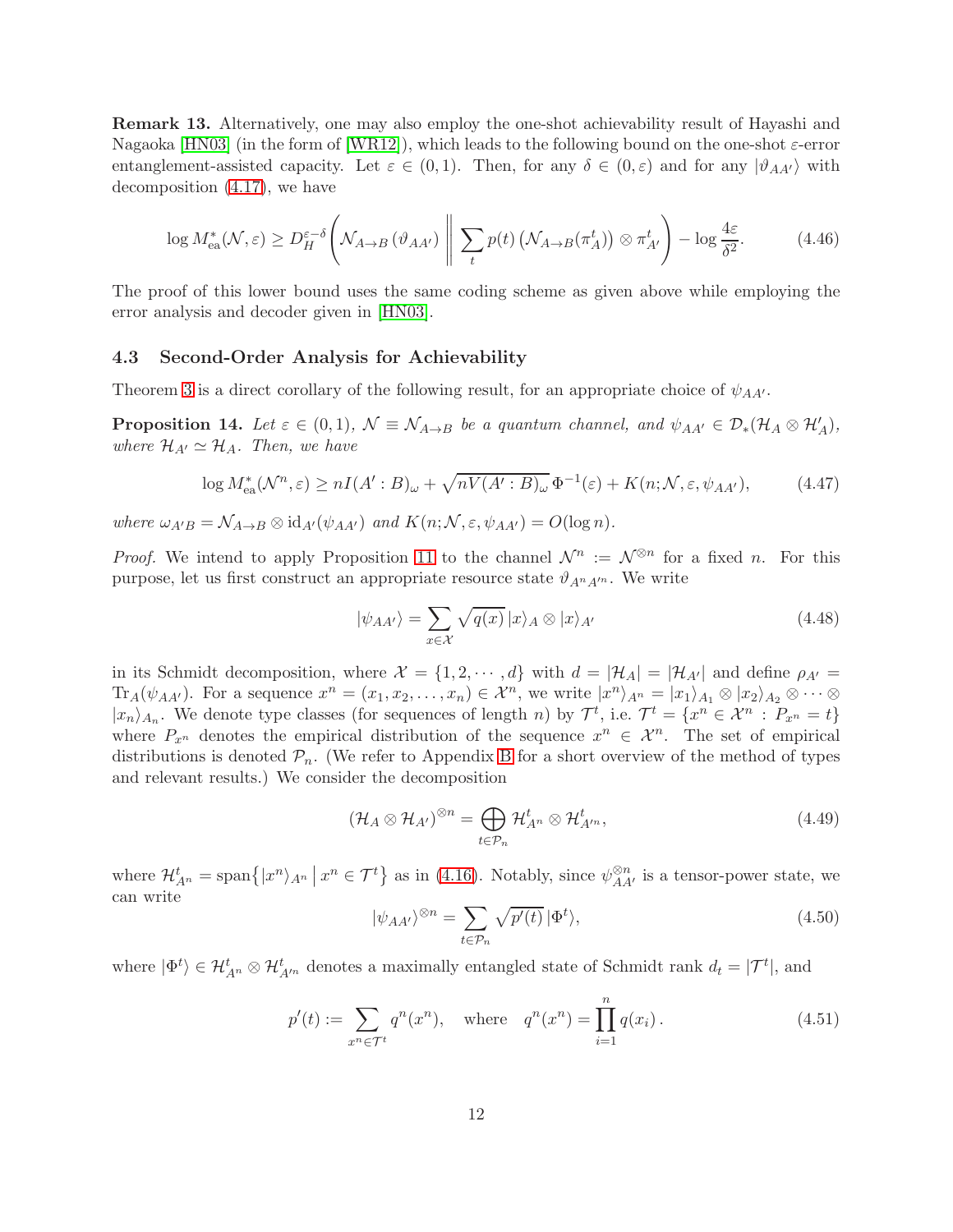Remark 13. Alternatively, one may also employ the one-shot achievability result of Hayashi and Nagaoka [\[HN03\]](#page-19-9) (in the form of [\[WR12\]](#page-21-3)), which leads to the following bound on the one-shot  $\varepsilon$ -error entanglement-assisted capacity. Let  $\varepsilon \in (0,1)$ . Then, for any  $\delta \in (0,\varepsilon)$  and for any  $|\vartheta_{AA'}\rangle$  with decomposition [\(4.17\)](#page-9-2), we have

$$
\log M_{\text{ea}}^*(\mathcal{N}, \varepsilon) \ge D_H^{\varepsilon-\delta} \left( \mathcal{N}_{A \to B} \left( \vartheta_{A A'} \right) \, \middle| \, \sum_t p(t) \left( \mathcal{N}_{A \to B}(\pi_A^t) \right) \otimes \pi_{A'}^t \right) - \log \frac{4\varepsilon}{\delta^2}.\tag{4.46}
$$

The proof of this lower bound uses the same coding scheme as given above while employing the error analysis and decoder given in [\[HN03\]](#page-19-9).

#### <span id="page-12-1"></span>4.3 Second-Order Analysis for Achievability

Theorem [3](#page-5-0) is a direct corollary of the following result, for an appropriate choice of  $\psi_{AA'}$ .

<span id="page-12-0"></span>**Proposition 14.** Let  $\varepsilon \in (0,1)$ ,  $\mathcal{N} \equiv \mathcal{N}_{A\to B}$  be a quantum channel, and  $\psi_{AA'} \in \mathcal{D}_*(\mathcal{H}_A \otimes \mathcal{H}'_A)$ , *where*  $\mathcal{H}_{A'} \simeq \mathcal{H}_A$ *. Then, we have* 

$$
\log M_{\text{ea}}^*(\mathcal{N}^n, \varepsilon) \ge nI(A':B)_{\omega} + \sqrt{nV(A':B)_{\omega}} \Phi^{-1}(\varepsilon) + K(n; \mathcal{N}, \varepsilon, \psi_{AA'}),\tag{4.47}
$$

*where*  $\omega_{A'B} = \mathcal{N}_{A\rightarrow B} \otimes \mathrm{id}_{A'}(\psi_{AA'})$  *and*  $K(n; \mathcal{N}, \varepsilon, \psi_{AA'}) = O(\log n)$ *.* 

*Proof.* We intend to apply Proposition [11](#page-9-0) to the channel  $\mathcal{N}^n := \mathcal{N}^{\otimes n}$  for a fixed n. For this purpose, let us first construct an appropriate resource state  $\vartheta_{A^nA^{\prime n}}$ . We write

$$
|\psi_{AA'}\rangle = \sum_{x \in \mathcal{X}} \sqrt{q(x)} |x\rangle_A \otimes |x\rangle_{A'}
$$
 (4.48)

in its Schmidt decomposition, where  $\mathcal{X} = \{1, 2, \dots, d\}$  with  $d = |\mathcal{H}_A| = |\mathcal{H}_{A'}|$  and define  $\rho_{A'} =$  $\text{Tr}_A(\psi_{AA'})$ . For a sequence  $x^n = (x_1, x_2, \ldots, x_n) \in \mathcal{X}^n$ , we write  $|x^n\rangle_{A^n} = |x_1\rangle_{A_1} \otimes |x_2\rangle_{A_2} \otimes \cdots \otimes$  $|x_n\rangle_{A_n}$ . We denote type classes (for sequences of length n) by  $\mathcal{T}^t$ , i.e.  $\mathcal{T}^t = \{x^n \in \mathcal{X}^n : P_{x^n} = t\}$ where  $P_{x^n}$  denotes the empirical distribution of the sequence  $x^n \in \mathcal{X}^n$ . The set of empirical distributions is denoted  $\mathcal{P}_n$ . (We refer to Appendix [B](#page-17-1) for a short overview of the method of types and relevant results.) We consider the decomposition

$$
(\mathcal{H}_A \otimes \mathcal{H}_{A'})^{\otimes n} = \bigoplus_{t \in \mathcal{P}_n} \mathcal{H}_{A^n}^t \otimes \mathcal{H}_{A'^n}^t,
$$
\n(4.49)

where  $\mathcal{H}_{A^n}^t = \text{span}\{|x^n\rangle_{A^n} | x^n \in \mathcal{T}^t\}$  as in [\(4.16\)](#page-9-3). Notably, since  $\psi_{AA'}^{\otimes n}$  is a tensor-power state, we can write

$$
|\psi_{AA'}\rangle^{\otimes n} = \sum_{t \in \mathcal{P}_n} \sqrt{p'(t)} \, |\Phi^t\rangle,\tag{4.50}
$$

where  $|\Phi^t\rangle \in \mathcal{H}_{A'^n}^t \otimes \mathcal{H}_{A'^n}^t$  denotes a maximally entangled state of Schmidt rank  $d_t = |\mathcal{T}^t|$ , and

$$
p'(t) := \sum_{x^n \in \mathcal{T}^t} q^n(x^n), \quad \text{where} \quad q^n(x^n) = \prod_{i=1}^n q(x_i). \tag{4.51}
$$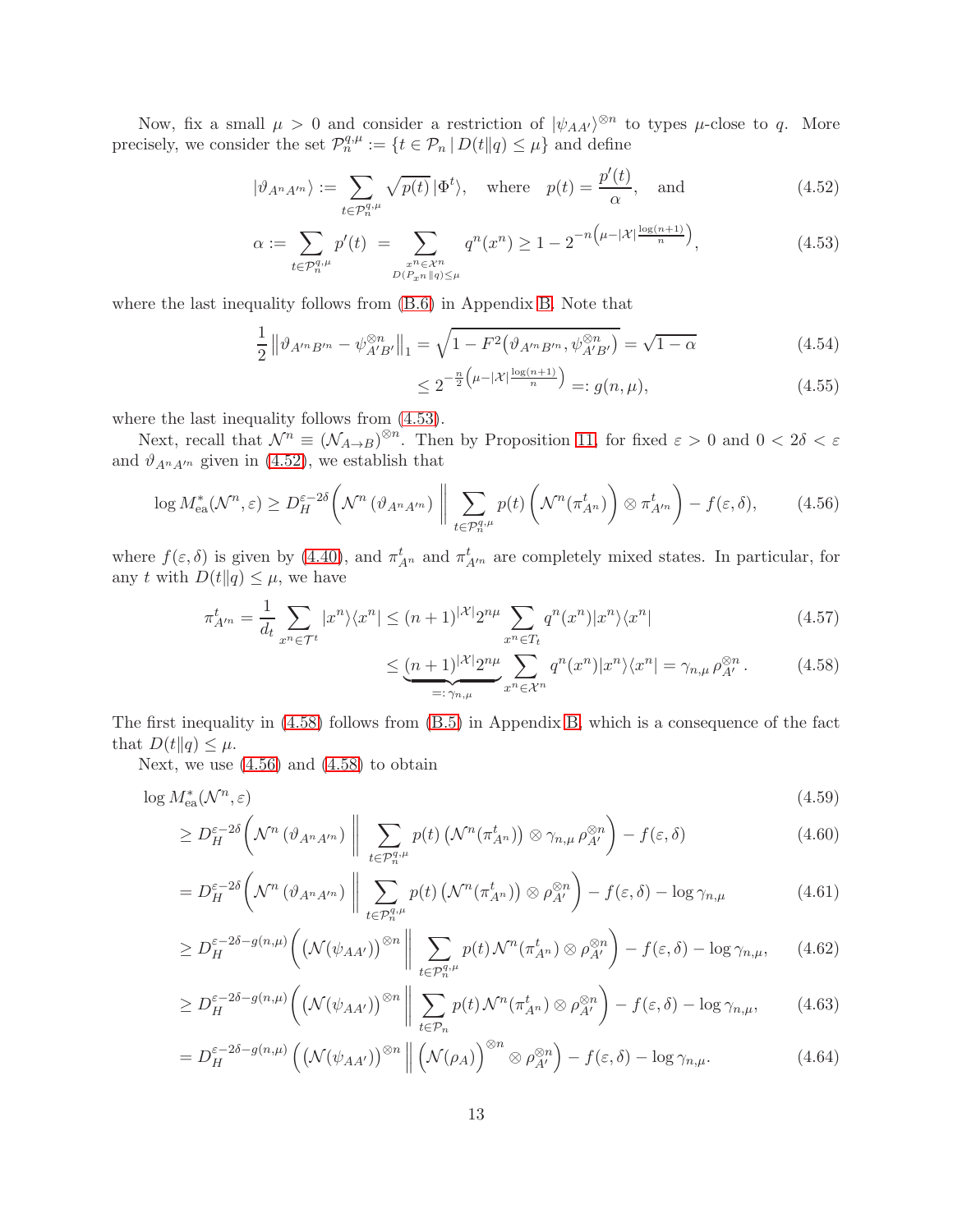Now, fix a small  $\mu > 0$  and consider a restriction of  $|\psi_{AA'}\rangle^{\otimes n}$  to types  $\mu$ -close to q. More precisely, we consider the set  $\mathcal{P}_n^{q,\mu} := \{t \in \mathcal{P}_n \mid D(t||q) \leq \mu\}$  and define

$$
|\vartheta_{A^n A'^n}\rangle := \sum_{t \in \mathcal{P}_n^{q,\mu}} \sqrt{p(t)} \, |\Phi^t\rangle, \quad \text{where} \quad p(t) = \frac{p'(t)}{\alpha}, \quad \text{and} \tag{4.52}
$$

$$
\alpha := \sum_{t \in \mathcal{P}_n^{q,\mu}} p'(t) = \sum_{\substack{x^n \in \mathcal{X}^n \\ D(P_x n \| q) \le \mu}} q^n(x^n) \ge 1 - 2^{-n\left(\mu - |\mathcal{X}| \frac{\log(n+1)}{n}\right)},\tag{4.53}
$$

where the last inequality follows from [\(B.6\)](#page-18-7) in Appendix [B.](#page-17-1) Note that

$$
\frac{1}{2} \left\| \vartheta_{A'^n B'^n} - \psi_{A'B'}^{\otimes n} \right\|_1 = \sqrt{1 - F^2 \left( \vartheta_{A'^n B'^n}, \psi_{A'B'}^{\otimes n} \right)} = \sqrt{1 - \alpha} \tag{4.54}
$$

<span id="page-13-1"></span><span id="page-13-0"></span>
$$
\leq 2^{-\frac{n}{2} \left(\mu - |\mathcal{X}| \frac{\log(n+1)}{n} \right)} =: g(n, \mu), \tag{4.55}
$$

where the last inequality follows from [\(4.53\)](#page-13-0).

Next, recall that  $\mathcal{N}^n \equiv (\mathcal{N}_{A\to B})^{\otimes n}$ . Then by Proposition [11,](#page-9-0) for fixed  $\varepsilon > 0$  and  $0 < 2\delta < \varepsilon$ and  $\vartheta_{A^n A'^n}$  given in [\(4.52\)](#page-13-1), we establish that

<span id="page-13-3"></span>
$$
\log M_{\text{ea}}^*(\mathcal{N}^n, \varepsilon) \ge D_H^{\varepsilon - 2\delta} \left( \mathcal{N}^n \left( \vartheta_{A^n A'^n} \right) \, \left\| \, \sum_{t \in \mathcal{P}_n^{q,\mu}} p(t) \left( \mathcal{N}^n(\pi_{A^n}^t) \right) \otimes \pi_{A'^n}^t \right) - f(\varepsilon, \delta), \tag{4.56}
$$

where  $f(\varepsilon, \delta)$  is given by [\(4.40\)](#page-11-5), and  $\pi_{A^n}^t$  and  $\pi_{A'^n}^t$  are completely mixed states. In particular, for any t with  $D(t||q) \leq \mu$ , we have

$$
\pi_{A'^n}^t = \frac{1}{d_t} \sum_{x^n \in \mathcal{T}^t} |x^n\rangle\langle x^n| \le (n+1)^{|\mathcal{X}|} 2^{n\mu} \sum_{x^n \in T_t} q^n(x^n) |x^n\rangle\langle x^n| \tag{4.57}
$$

<span id="page-13-4"></span><span id="page-13-2"></span>
$$
\leq \underbrace{(n+1)^{|\mathcal{X}|} 2^{n\mu}}_{=: \gamma_{n,\mu}} \sum_{x^n \in \mathcal{X}^n} q^n(x^n) |x^n\rangle\langle x^n| = \gamma_{n,\mu} \,\rho_{A'}^{\otimes n} \,. \tag{4.58}
$$

The first inequality in [\(4.58\)](#page-13-2) follows from [\(B.5\)](#page-18-8) in Appendix [B,](#page-17-1) which is a consequence of the fact that  $D(t||q) \leq \mu$ .

Next, we use  $(4.56)$  and  $(4.58)$  to obtain

$$
\log M_{\text{ea}}^*(\mathcal{N}^n, \varepsilon) \tag{4.59}
$$

$$
\geq D_H^{\varepsilon-2\delta}\left(\mathcal{N}^n\left(\vartheta_{A^n A'^n}\right)\,\bigg\|\,\sum_{t\in\mathcal{P}_n^{q,\mu}}p(t)\left(\mathcal{N}^n(\pi_{A^n}^t)\right)\otimes\gamma_{n,\mu}\,\rho_{A'}^{\otimes n}\right)-f(\varepsilon,\delta)\tag{4.60}
$$

$$
=D_H^{\varepsilon-2\delta}\left(\mathcal{N}^n\left(\vartheta_{A^nA'^n}\right)\,\bigg\|\,\sum_{t\in\mathcal{P}_n^{q,\mu}}p(t)\left(\mathcal{N}^n(\pi_{A^n}^t)\right)\otimes\rho_{A'}^{\otimes n}\right)-f(\varepsilon,\delta)-\log\gamma_{n,\mu}\tag{4.61}
$$

$$
\geq D_H^{\varepsilon-2\delta-g(n,\mu)}\left(\left(\mathcal{N}(\psi_{AA'})\right)^{\otimes n}\Bigg\|\sum_{t\in\mathcal{P}_n^{q,\mu}}p(t)\mathcal{N}^n(\pi_{A^n}^t)\otimes\rho_{A'}^{\otimes n}\right)-f(\varepsilon,\delta)-\log\gamma_{n,\mu},\qquad(4.62)
$$

$$
\geq D_H^{\varepsilon-2\delta-g(n,\mu)}\left(\left(\mathcal{N}(\psi_{AA'})\right)^{\otimes n}\bigg|\bigg|\sum_{t\in\mathcal{P}_n}p(t)\mathcal{N}^n(\pi_{A^n}^t)\otimes\rho_{A'}^{\otimes n}\right)-f(\varepsilon,\delta)-\log\gamma_{n,\mu},\qquad(4.63)
$$

$$
=D_H^{\varepsilon-2\delta-g(n,\mu)}\left(\left(\mathcal{N}(\psi_{AA'})\right)^{\otimes n}\Big|\Big|\left(\mathcal{N}(\rho_A)\right)^{\otimes n}\otimes\rho_{A'}^{\otimes n}\right)-f(\varepsilon,\delta)-\log\gamma_{n,\mu}.\tag{4.64}
$$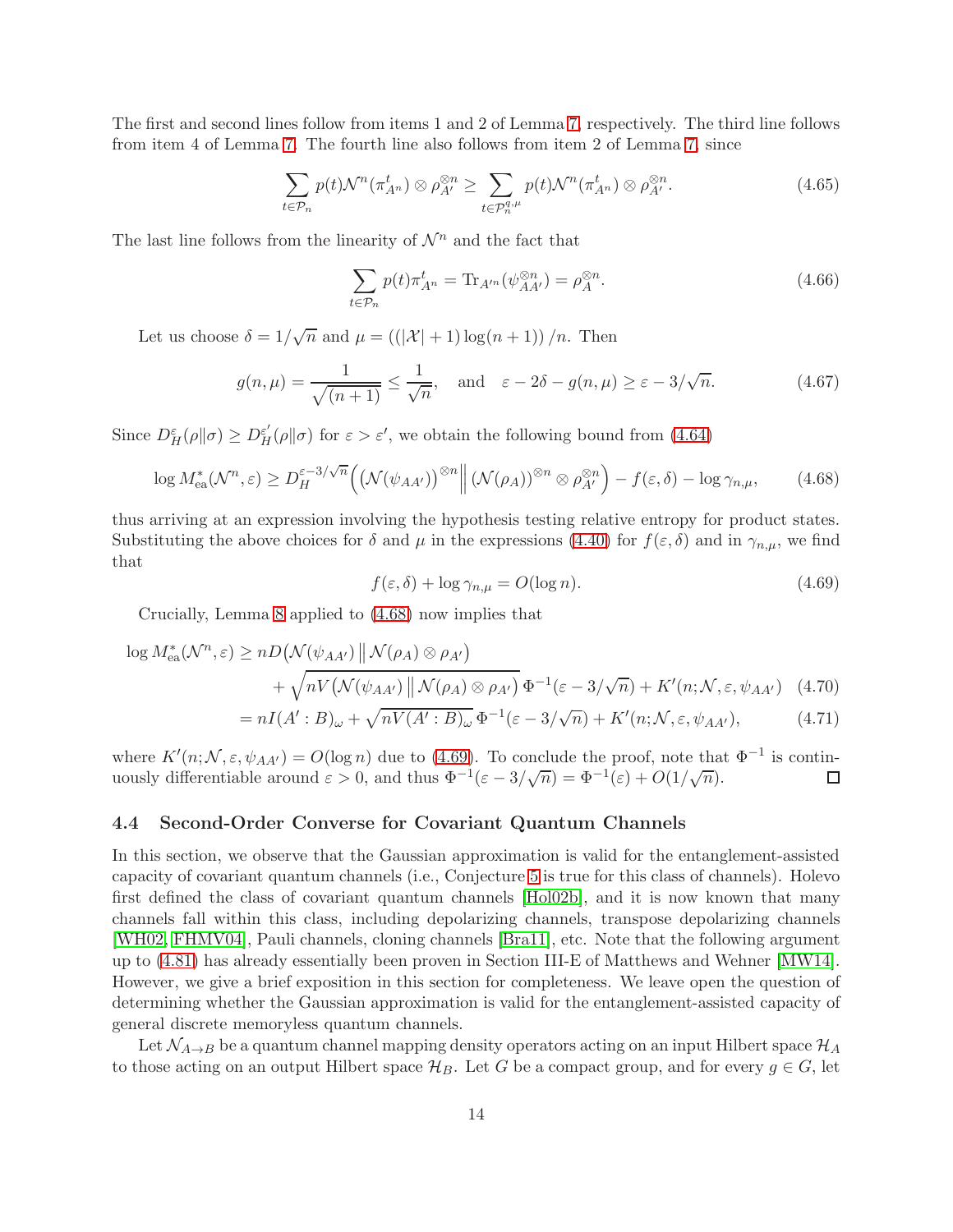The first and second lines follow from items 1 and 2 of Lemma [7,](#page-7-1) respectively. The third line follows from item 4 of Lemma [7.](#page-7-1) The fourth line also follows from item 2 of Lemma [7,](#page-7-1) since

$$
\sum_{t \in \mathcal{P}_n} p(t) \mathcal{N}^n(\pi_{A^n}^t) \otimes \rho_{A'}^{\otimes n} \ge \sum_{t \in \mathcal{P}_n^{q,\mu}} p(t) \mathcal{N}^n(\pi_{A^n}^t) \otimes \rho_{A'}^{\otimes n}.
$$
\n(4.65)

The last line follows from the linearity of  $\mathcal{N}^n$  and the fact that

$$
\sum_{t \in \mathcal{P}_n} p(t) \pi_{A^n}^t = \text{Tr}_{A'^n}(\psi_{AA'}^{\otimes n}) = \rho_A^{\otimes n}.
$$
\n(4.66)

Let us choose  $\delta = 1/\sqrt{n}$  and  $\mu = ((|\mathcal{X}| + 1) \log(n + 1))/n$ . Then

$$
g(n,\mu) = \frac{1}{\sqrt{(n+1)}} \le \frac{1}{\sqrt{n}}, \quad \text{and} \quad \varepsilon - 2\delta - g(n,\mu) \ge \varepsilon - 3/\sqrt{n}.
$$
 (4.67)

Since  $D_H^{\varepsilon}(\rho||\sigma) \ge D_H^{\varepsilon'}(\rho||\sigma)$  for  $\varepsilon > \varepsilon'$ , we obtain the following bound from [\(4.64\)](#page-13-4)

<span id="page-14-1"></span>
$$
\log M_{\text{ea}}^*(\mathcal{N}^n, \varepsilon) \ge D_H^{\varepsilon - 3/\sqrt{n}} \Big( \big(\mathcal{N}(\psi_{AA'})\big)^{\otimes n} \Big\| \left(\mathcal{N}(\rho_A)\right)^{\otimes n} \otimes \rho_{A'}^{\otimes n} \Big) - f(\varepsilon, \delta) - \log \gamma_{n,\mu}, \tag{4.68}
$$

thus arriving at an expression involving the hypothesis testing relative entropy for product states. Substituting the above choices for  $\delta$  and  $\mu$  in the expressions [\(4.40\)](#page-11-5) for  $f(\varepsilon, \delta)$  and in  $\gamma_{n,\mu}$ , we find that

<span id="page-14-2"></span>
$$
f(\varepsilon, \delta) + \log \gamma_{n,\mu} = O(\log n). \tag{4.69}
$$

Crucially, Lemma [8](#page-8-2) applied to [\(4.68\)](#page-14-1) now implies that

$$
\log M_{\text{ea}}^*(\mathcal{N}^n, \varepsilon) \ge nD\big(\mathcal{N}(\psi_{AA'}) \, \|\, \mathcal{N}(\rho_A) \otimes \rho_{A'}\big) \n+ \sqrt{nV\big(\mathcal{N}(\psi_{AA'}) \, \|\, \mathcal{N}(\rho_A) \otimes \rho_{A'}\big)} \, \Phi^{-1}(\varepsilon - 3/\sqrt{n}) + K'(n; \mathcal{N}, \varepsilon, \psi_{AA'}) \tag{4.70}
$$
\n
$$
= nI(A' \cdot B) + \sqrt{nV(A' \cdot B)} \Phi^{-1}(\varepsilon - 3/\sqrt{n}) + K'(n; \mathcal{N}, \varepsilon, \psi_{AA'}) \tag{4.71}
$$

$$
= nI(A':B)_{\omega} + \sqrt{nV(A':B)_{\omega}}\Phi^{-1}(\varepsilon - 3/\sqrt{n}) + K'(n;\mathcal{N},\varepsilon,\psi_{AA'}),
$$
 (4.71)

where  $K'(n; \mathcal{N}, \varepsilon, \psi_{AA'}) = O(\log n)$  due to [\(4.69\)](#page-14-2). To conclude the proof, note that  $\Phi^{-1}$  is continuously differentiable around  $\varepsilon > 0$ , and thus  $\Phi^{-1}(\varepsilon - 3/\sqrt{n}) = \Phi^{-1}(\varepsilon) + O(1/\sqrt{n}).$  $\Box$ 

#### <span id="page-14-0"></span>4.4 Second-Order Converse for Covariant Quantum Channels

In this section, we observe that the Gaussian approximation is valid for the entanglement-assisted capacity of covariant quantum channels (i.e., Conjecture [5](#page-6-2) is true for this class of channels). Holevo first defined the class of covariant quantum channels [\[Hol02b\]](#page-20-1), and it is now known that many channels fall within this class, including depolarizing channels, transpose depolarizing channels [\[WH02,](#page-21-4) [FHMV04\]](#page-19-10), Pauli channels, cloning channels [\[Bra11\]](#page-18-9), etc. Note that the following argument up to [\(4.81\)](#page-16-1) has already essentially been proven in Section III-E of Matthews and Wehner [\[MW14\]](#page-20-10). However, we give a brief exposition in this section for completeness. We leave open the question of determining whether the Gaussian approximation is valid for the entanglement-assisted capacity of general discrete memoryless quantum channels.

Let  $\mathcal{N}_{A\rightarrow B}$  be a quantum channel mapping density operators acting on an input Hilbert space  $\mathcal{H}_A$ to those acting on an output Hilbert space  $\mathcal{H}_B$ . Let G be a compact group, and for every  $g \in G$ , let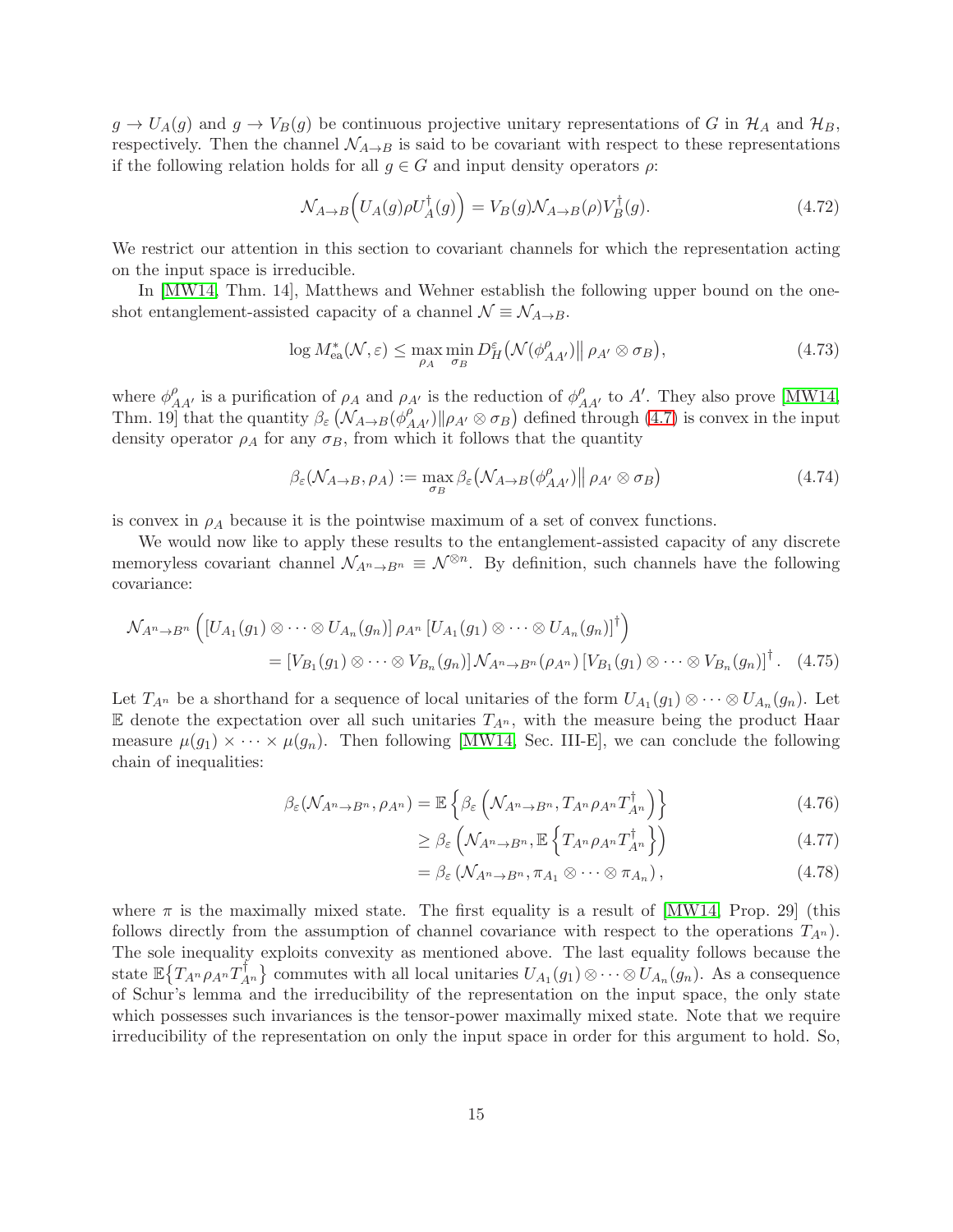$g \to U_A(g)$  and  $g \to V_B(g)$  be continuous projective unitary representations of G in  $\mathcal{H}_A$  and  $\mathcal{H}_B$ , respectively. Then the channel  $\mathcal{N}_{A\rightarrow B}$  is said to be covariant with respect to these representations if the following relation holds for all  $g \in G$  and input density operators  $\rho$ :

$$
\mathcal{N}_{A \to B} \left( U_A(g) \rho U_A^{\dagger}(g) \right) = V_B(g) \mathcal{N}_{A \to B}(\rho) V_B^{\dagger}(g). \tag{4.72}
$$

We restrict our attention in this section to covariant channels for which the representation acting on the input space is irreducible.

In [\[MW14,](#page-20-10) Thm. 14], Matthews and Wehner establish the following upper bound on the oneshot entanglement-assisted capacity of a channel  $\mathcal{N} \equiv \mathcal{N}_{A\rightarrow B}$ .

<span id="page-15-0"></span>
$$
\log M_{\text{ea}}^*(\mathcal{N}, \varepsilon) \le \max_{\rho_A} \min_{\sigma_B} D_H^{\varepsilon} \big(\mathcal{N}(\phi_{AA'}^{\rho}) \big \| \rho_{A'} \otimes \sigma_B \big), \tag{4.73}
$$

where  $\phi_{AA'}^{\rho}$  is a purification of  $\rho_A$  and  $\rho_{A'}$  is the reduction of  $\phi_{AA'}^{\rho}$  to A'. They also prove [\[MW14,](#page-20-10) Thm. 19] that the quantity  $\beta_{\varepsilon}$   $(N_{A\to B}(\phi_{AA'}^{\rho})||\rho_{A'}\otimes\sigma_B)$  defined through [\(4.7\)](#page-7-3) is convex in the input density operator  $\rho_A$  for any  $\sigma_B$ , from which it follows that the quantity

$$
\beta_{\varepsilon}(\mathcal{N}_{A\to B}, \rho_A) := \max_{\sigma_B} \beta_{\varepsilon}(\mathcal{N}_{A\to B}(\phi_{AA'}^{\rho}) \| \rho_{A'} \otimes \sigma_B)
$$
(4.74)

is convex in  $\rho_A$  because it is the pointwise maximum of a set of convex functions.

We would now like to apply these results to the entanglement-assisted capacity of any discrete memoryless covariant channel  $\mathcal{N}_{A^n\to B^n} \equiv \mathcal{N}^{\otimes n}$ . By definition, such channels have the following covariance:

$$
\mathcal{N}_{A^n \to B^n} \left( \left[ U_{A_1}(g_1) \otimes \cdots \otimes U_{A_n}(g_n) \right] \rho_{A^n} \left[ U_{A_1}(g_1) \otimes \cdots \otimes U_{A_n}(g_n) \right]^{\dagger} \right)
$$
  
= 
$$
\left[ V_{B_1}(g_1) \otimes \cdots \otimes V_{B_n}(g_n) \right] \mathcal{N}_{A^n \to B^n}(\rho_{A^n}) \left[ V_{B_1}(g_1) \otimes \cdots \otimes V_{B_n}(g_n) \right]^{\dagger} . \tag{4.75}
$$

Let  $T_{A^n}$  be a shorthand for a sequence of local unitaries of the form  $U_{A_1}(g_1) \otimes \cdots \otimes U_{A_n}(g_n)$ . Let  $E$  denote the expectation over all such unitaries  $T_{A^n}$ , with the measure being the product Haar measure  $\mu(g_1) \times \cdots \times \mu(g_n)$ . Then following [\[MW14,](#page-20-10) Sec. III-E], we can conclude the following chain of inequalities:

$$
\beta_{\varepsilon}(\mathcal{N}_{A^{n}\to B^{n}},\rho_{A^{n}})=\mathbb{E}\left\{\beta_{\varepsilon}\left(\mathcal{N}_{A^{n}\to B^{n}},T_{A^{n}}\rho_{A^{n}}T_{A^{n}}^{\dagger}\right)\right\}
$$
(4.76)

$$
\geq \beta_{\varepsilon} \left( \mathcal{N}_{A^{n} \to B^{n}}, \mathbb{E} \left\{ T_{A^{n}} \rho_{A^{n}} T_{A^{n}}^{\dagger} \right\} \right) \tag{4.77}
$$

$$
= \beta_{\varepsilon} \left( \mathcal{N}_{A^{n} \to B^{n}}, \pi_{A_{1}} \otimes \cdots \otimes \pi_{A_{n}} \right), \tag{4.78}
$$

where  $\pi$  is the maximally mixed state. The first equality is a result of [\[MW14,](#page-20-10) Prop. 29] (this follows directly from the assumption of channel covariance with respect to the operations  $T_{A<sup>n</sup>}$ . The sole inequality exploits convexity as mentioned above. The last equality follows because the state  $\mathbb{E} \{ T_{A^n} \rho_{A^n} T_{A^n}^{\dagger} \}$  commutes with all local unitaries  $U_{A_1}(g_1) \otimes \cdots \otimes U_{A_n}(g_n)$ . As a consequence of Schur's lemma and the irreducibility of the representation on the input space, the only state which possesses such invariances is the tensor-power maximally mixed state. Note that we require irreducibility of the representation on only the input space in order for this argument to hold. So,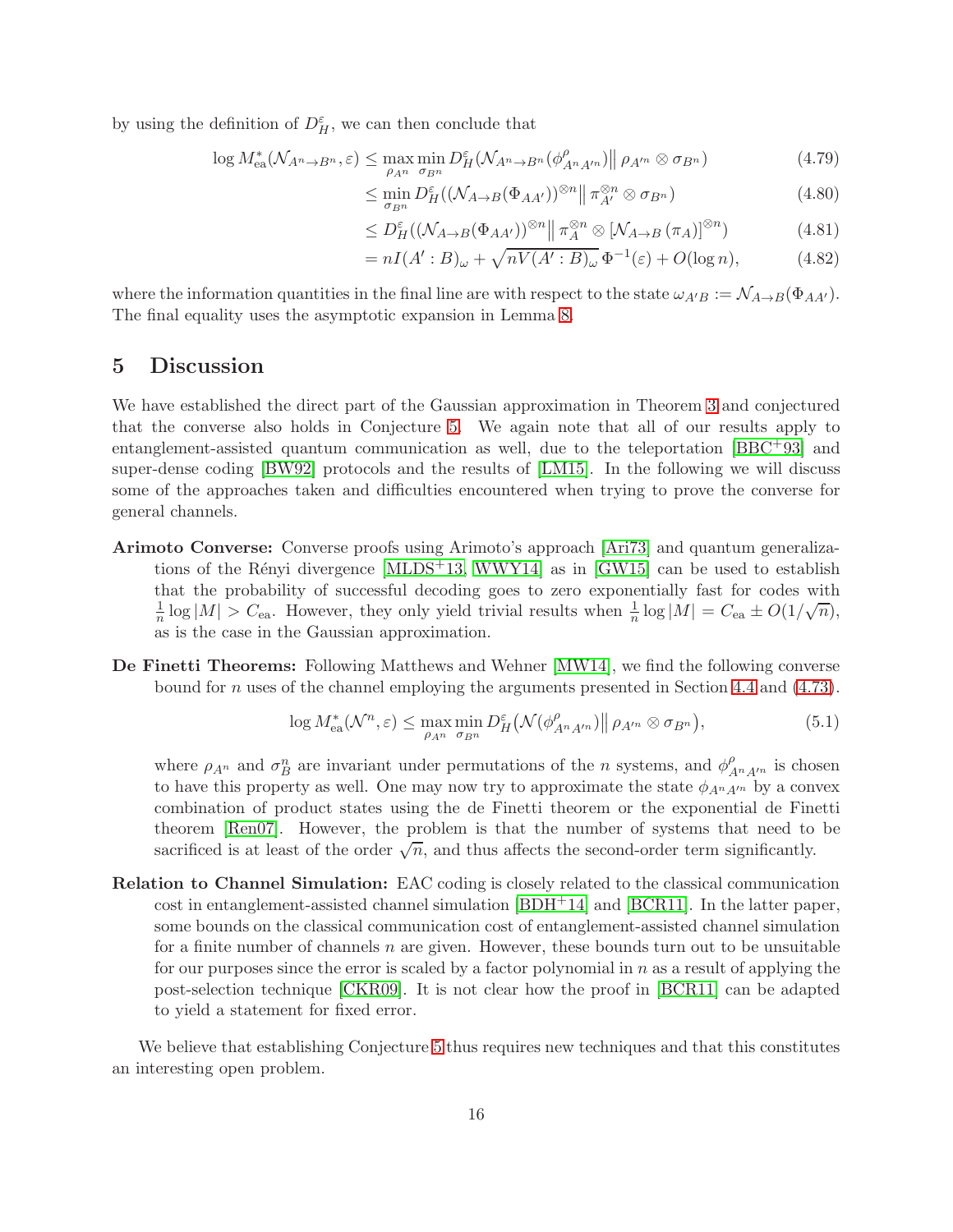by using the definition of  $D_H^{\varepsilon}$ , we can then conclude that

$$
\log M_{\text{ea}}^*(\mathcal{N}_{A^n \to B^n}, \varepsilon) \le \max_{\rho_{A^n}} \min_{\sigma_{B^n}} D_H^{\varepsilon}(\mathcal{N}_{A^n \to B^n}(\phi_{A^n A'^n}^{\rho}) \|\rho_{A'^n} \otimes \sigma_{B^n})
$$
(4.79)

$$
\leq \min_{\sigma_{B^n}} D_H^{\varepsilon}((\mathcal{N}_{A \to B}(\Phi_{A A'}))^{\otimes n} \| \pi_{A'}^{\otimes n} \otimes \sigma_{B^n}) \tag{4.80}
$$

<span id="page-16-1"></span>
$$
\leq D_H^{\varepsilon}((\mathcal{N}_{A\to B}(\Phi_{AA'}))^{\otimes n} \|\pi_A^{\otimes n} \otimes [\mathcal{N}_{A\to B}(\pi_A)]^{\otimes n}) \tag{4.81}
$$

$$
= nI(A':B)_{\omega} + \sqrt{nV(A':B)_{\omega}} \Phi^{-1}(\varepsilon) + O(\log n), \tag{4.82}
$$

where the information quantities in the final line are with respect to the state  $\omega_{A'B} := \mathcal{N}_{A\to B}(\Phi_{AA'})$ . The final equality uses the asymptotic expansion in Lemma [8.](#page-8-2)

## <span id="page-16-0"></span>5 Discussion

We have established the direct part of the Gaussian approximation in Theorem [3](#page-5-0) and conjectured that the converse also holds in Conjecture [5.](#page-6-2) We again note that all of our results apply to entanglement-assisted quantum communication as well, due to the teleportation [\[BBC](#page-18-5)+93] and super-dense coding [\[BW92\]](#page-19-0) protocols and the results of [\[LM15\]](#page-20-8). In the following we will discuss some of the approaches taken and difficulties encountered when trying to prove the converse for general channels.

- Arimoto Converse: Converse proofs using Arimoto's approach [\[Ari73\]](#page-18-10) and quantum generalizations of the Rényi divergence  $[MLDS^+13, WWY14]$  $[MLDS^+13, WWY14]$  as in  $[GW15]$  can be used to establish that the probability of successful decoding goes to zero exponentially fast for codes with 1  $\frac{1}{n}$  log  $|M| > C_{\text{ea}}$ . However, they only yield trivial results when  $\frac{1}{n}$  log  $|M| = C_{\text{ea}} \pm O(1/\sqrt{n}),$ as is the case in the Gaussian approximation.
- De Finetti Theorems: Following Matthews and Wehner [\[MW14\]](#page-20-10), we find the following converse bound for n uses of the channel employing the arguments presented in Section [4.4](#page-14-0) and [\(4.73\)](#page-15-0).

$$
\log M_{\text{ea}}^*(\mathcal{N}^n, \varepsilon) \le \max_{\rho_{A^n}} \min_{\sigma_{B^n}} D_H^{\varepsilon} \big(\mathcal{N}(\phi_{A^n A'^n}^{\rho}) \big\| \rho_{A'^n} \otimes \sigma_{B^n} \big),\tag{5.1}
$$

where  $\rho_{A^n}$  and  $\sigma_B^n$  are invariant under permutations of the *n* systems, and  $\phi_{A^n A'^n}^{\rho}$  is chosen to have this property as well. One may now try to approximate the state  $\phi_{A^nA'^n}$  by a convex combination of product states using the de Finetti theorem or the exponential de Finetti theorem [\[Ren07\]](#page-20-14). However, the problem is that the number of systems that need to be sacrificed is at least of the order  $\sqrt{n}$ , and thus affects the second-order term significantly.

Relation to Channel Simulation: EAC coding is closely related to the classical communication cost in entanglement-assisted channel simulation [\[BDH](#page-18-3)+14] and [\[BCR11\]](#page-18-4). In the latter paper, some bounds on the classical communication cost of entanglement-assisted channel simulation for a finite number of channels  $n$  are given. However, these bounds turn out to be unsuitable for our purposes since the error is scaled by a factor polynomial in  $n$  as a result of applying the post-selection technique [\[CKR09\]](#page-19-11). It is not clear how the proof in [\[BCR11\]](#page-18-4) can be adapted to yield a statement for fixed error.

We believe that establishing Conjecture [5](#page-6-2) thus requires new techniques and that this constitutes an interesting open problem.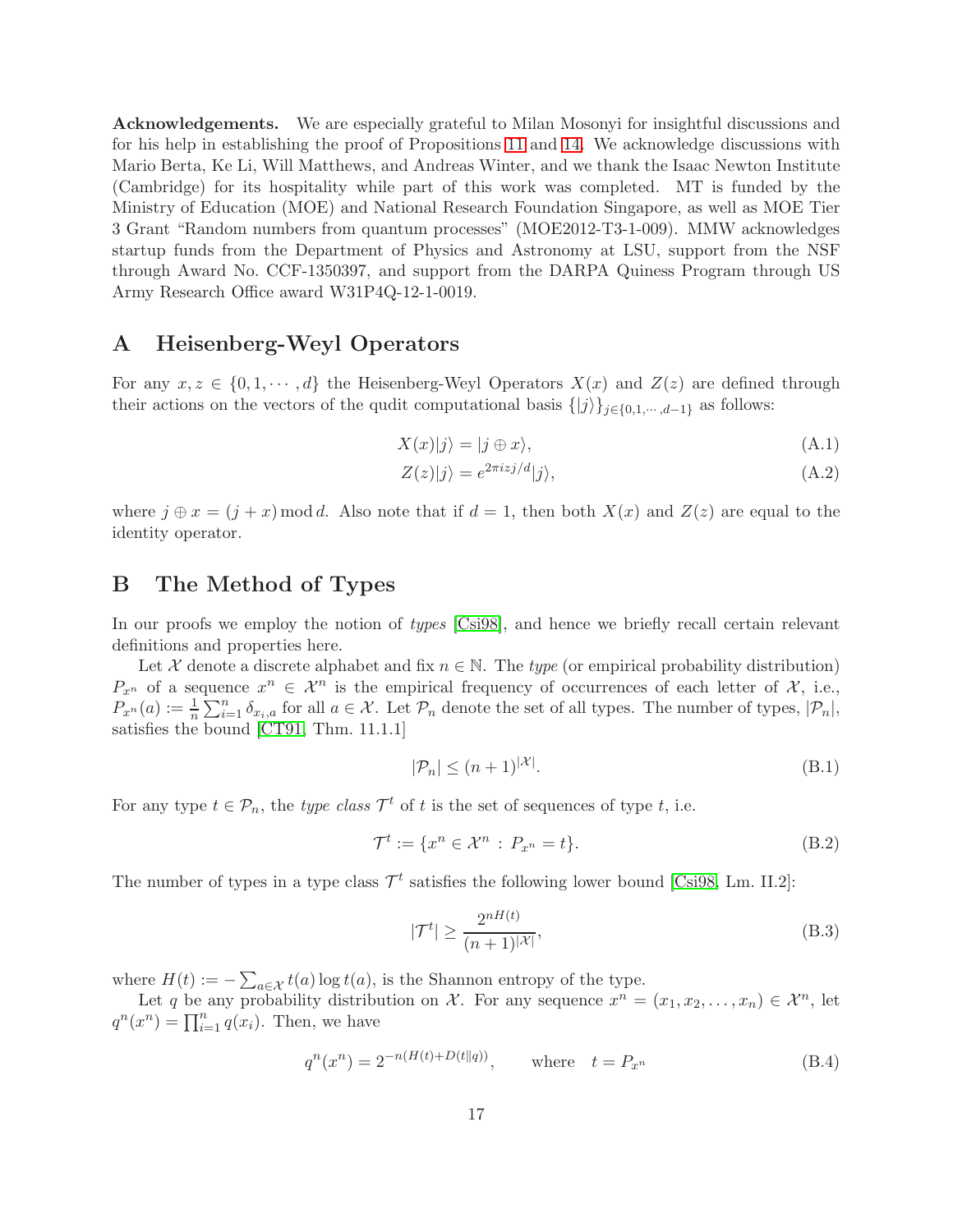Acknowledgements. We are especially grateful to Milan Mosonyi for insightful discussions and for his help in establishing the proof of Propositions [11](#page-9-0) and [14.](#page-12-0) We acknowledge discussions with Mario Berta, Ke Li, Will Matthews, and Andreas Winter, and we thank the Isaac Newton Institute (Cambridge) for its hospitality while part of this work was completed. MT is funded by the Ministry of Education (MOE) and National Research Foundation Singapore, as well as MOE Tier 3 Grant "Random numbers from quantum processes" (MOE2012-T3-1-009). MMW acknowledges startup funds from the Department of Physics and Astronomy at LSU, support from the NSF through Award No. CCF-1350397, and support from the DARPA Quiness Program through US Army Research Office award W31P4Q-12-1-0019.

## <span id="page-17-0"></span>A Heisenberg-Weyl Operators

For any  $x, z \in \{0, 1, \dots, d\}$  the Heisenberg-Weyl Operators  $X(x)$  and  $Z(z)$  are defined through their actions on the vectors of the qudit computational basis  $\{|j\rangle\}_{j\in\{0,1,\cdots,d-1\}}$  as follows:

$$
X(x)|j\rangle = |j \oplus x\rangle,\tag{A.1}
$$

$$
Z(z)|j\rangle = e^{2\pi i z j/d} |j\rangle, \tag{A.2}
$$

where  $j \oplus x = (j + x) \mod d$ . Also note that if  $d = 1$ , then both  $X(x)$  and  $Z(z)$  are equal to the identity operator.

## <span id="page-17-1"></span>B The Method of Types

In our proofs we employ the notion of *types* [\[Csi98\]](#page-19-12), and hence we briefly recall certain relevant definitions and properties here.

Let  $\mathcal X$  denote a discrete alphabet and fix  $n \in \mathbb N$ . The *type* (or empirical probability distribution)  $P_{x^n}$  of a sequence  $x^n \in \mathcal{X}^n$  is the empirical frequency of occurrences of each letter of  $\mathcal{X}$ , i.e.,  $P_{x^n}(a) := \frac{1}{n} \sum_{i=1}^n \delta_{x_i, a}$  for all  $a \in \mathcal{X}$ . Let  $\mathcal{P}_n$  denote the set of all types. The number of types,  $|\mathcal{P}_n|$ , satisfies the bound [\[CT91,](#page-19-13) Thm. 11.1.1]

<span id="page-17-2"></span>
$$
|\mathcal{P}_n| \le (n+1)^{|\mathcal{X}|}.\tag{B.1}
$$

For any type  $t \in \mathcal{P}_n$ , the *type class*  $\mathcal{T}^t$  of  $t$  is the set of sequences of type  $t$ , i.e.

$$
\mathcal{T}^t := \{ x^n \in \mathcal{X}^n : P_{x^n} = t \}. \tag{B.2}
$$

The number of types in a type class  $\mathcal{T}^t$  satisfies the following lower bound [\[Csi98,](#page-19-12) Lm. II.2]:

<span id="page-17-3"></span>
$$
|\mathcal{T}^t| \ge \frac{2^{nH(t)}}{(n+1)^{|\mathcal{X}|}},\tag{B.3}
$$

where  $H(t) := -\sum_{a \in \mathcal{X}} t(a) \log t(a)$ , is the Shannon entropy of the type.

Let q be any probability distribution on  $\mathcal{X}$ . For any sequence  $x^n = (x_1, x_2, \ldots, x_n) \in \mathcal{X}^n$ , let  $q^n(x^n) = \prod_{i=1}^n q(x_i)$ . Then, we have

<span id="page-17-4"></span>
$$
q^{n}(x^{n}) = 2^{-n(H(t) + D(t||q))}, \quad \text{where} \quad t = P_{x^{n}}
$$
 (B.4)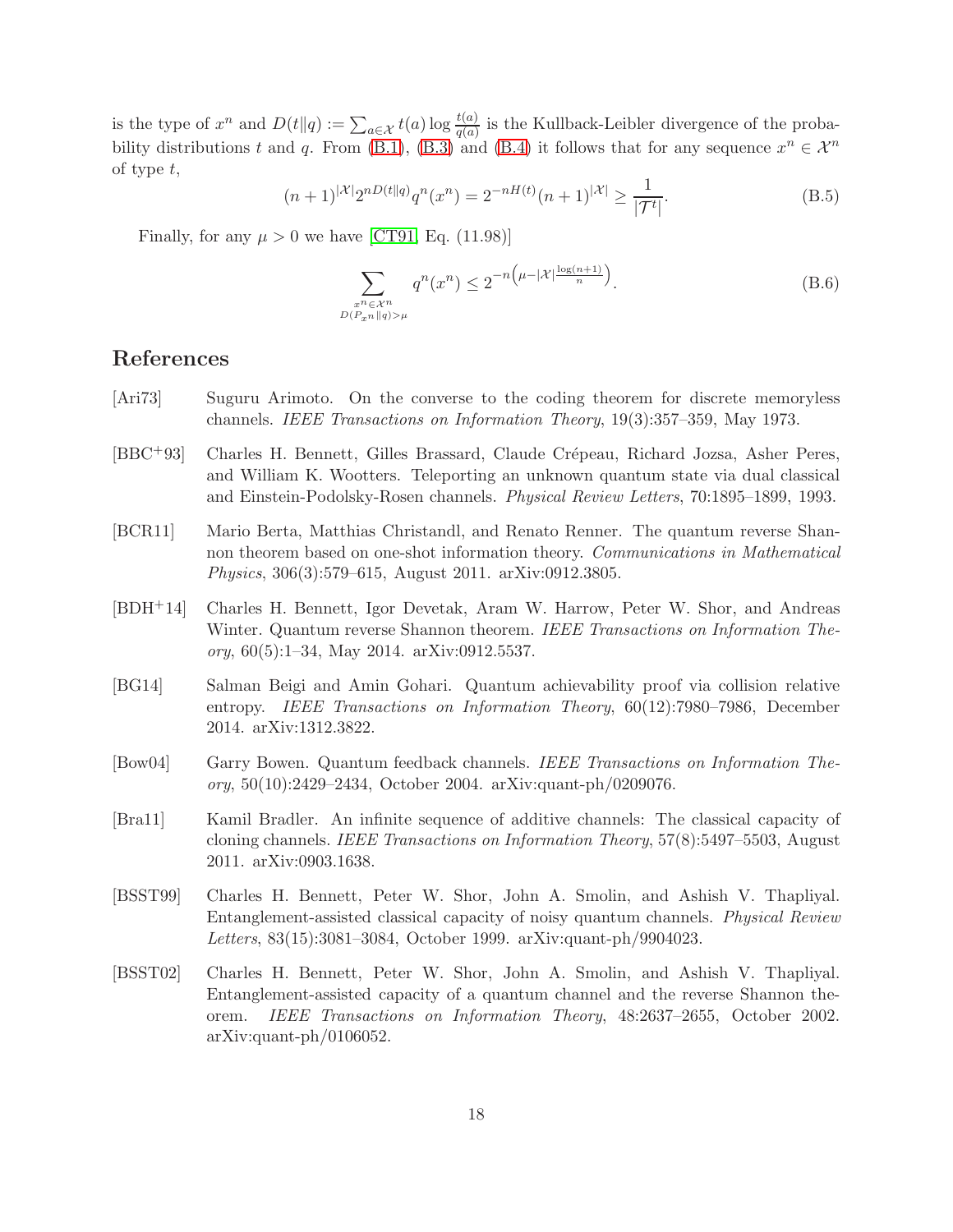is the type of  $x^n$  and  $D(t||q) := \sum_{a \in \mathcal{X}} t(a) \log \frac{t(a)}{q(a)}$  is the Kullback-Leibler divergence of the proba-bility distributions t and q. From [\(B.1\)](#page-17-2), [\(B.3\)](#page-17-3) and [\(B.4\)](#page-17-4) it follows that for any sequence  $x^n \in \mathcal{X}^n$ of type t,

<span id="page-18-8"></span>
$$
(n+1)^{|\mathcal{X}|}2^{nD(t||q)}q^n(x^n) = 2^{-nH(t)}(n+1)^{|\mathcal{X}|} \ge \frac{1}{|\mathcal{T}^t|}.
$$
\n(B.5)

Finally, for any  $\mu > 0$  we have [\[CT91,](#page-19-13) Eq. (11.98)]

<span id="page-18-7"></span>
$$
\sum_{\substack{x^n \in \mathcal{X}^n \\ D(P_{x^n} \| q) > \mu}} q^n(x^n) \le 2^{-n\left(\mu - |\mathcal{X}| \frac{\log(n+1)}{n}\right)}.
$$
\n(B.6)

## References

- <span id="page-18-10"></span>[Ari73] Suguru Arimoto. On the converse to the coding theorem for discrete memoryless channels. *IEEE Transactions on Information Theory*, 19(3):357–359, May 1973.
- <span id="page-18-5"></span>[BBC+93] Charles H. Bennett, Gilles Brassard, Claude Crépeau, Richard Jozsa, Asher Peres, and William K. Wootters. Teleporting an unknown quantum state via dual classical and Einstein-Podolsky-Rosen channels. *Physical Review Letters*, 70:1895–1899, 1993.
- <span id="page-18-4"></span>[BCR11] Mario Berta, Matthias Christandl, and Renato Renner. The quantum reverse Shannon theorem based on one-shot information theory. *Communications in Mathematical Physics*, 306(3):579–615, August 2011. arXiv:0912.3805.
- <span id="page-18-3"></span>[BDH+14] Charles H. Bennett, Igor Devetak, Aram W. Harrow, Peter W. Shor, and Andreas Winter. Quantum reverse Shannon theorem. *IEEE Transactions on Information Theory*, 60(5):1–34, May 2014. arXiv:0912.5537.
- <span id="page-18-6"></span>[BG14] Salman Beigi and Amin Gohari. Quantum achievability proof via collision relative entropy. *IEEE Transactions on Information Theory*, 60(12):7980–7986, December 2014. arXiv:1312.3822.
- <span id="page-18-2"></span>[Bow04] Garry Bowen. Quantum feedback channels. *IEEE Transactions on Information Theory*, 50(10):2429–2434, October 2004. arXiv:quant-ph/0209076.
- <span id="page-18-9"></span>[Bra11] Kamil Bradler. An infinite sequence of additive channels: The classical capacity of cloning channels. *IEEE Transactions on Information Theory*, 57(8):5497–5503, August 2011. arXiv:0903.1638.
- <span id="page-18-0"></span>[BSST99] Charles H. Bennett, Peter W. Shor, John A. Smolin, and Ashish V. Thapliyal. Entanglement-assisted classical capacity of noisy quantum channels. *Physical Review Letters*, 83(15):3081–3084, October 1999. arXiv:quant-ph/9904023.
- <span id="page-18-1"></span>[BSST02] Charles H. Bennett, Peter W. Shor, John A. Smolin, and Ashish V. Thapliyal. Entanglement-assisted capacity of a quantum channel and the reverse Shannon theorem. *IEEE Transactions on Information Theory*, 48:2637–2655, October 2002. arXiv:quant-ph/0106052.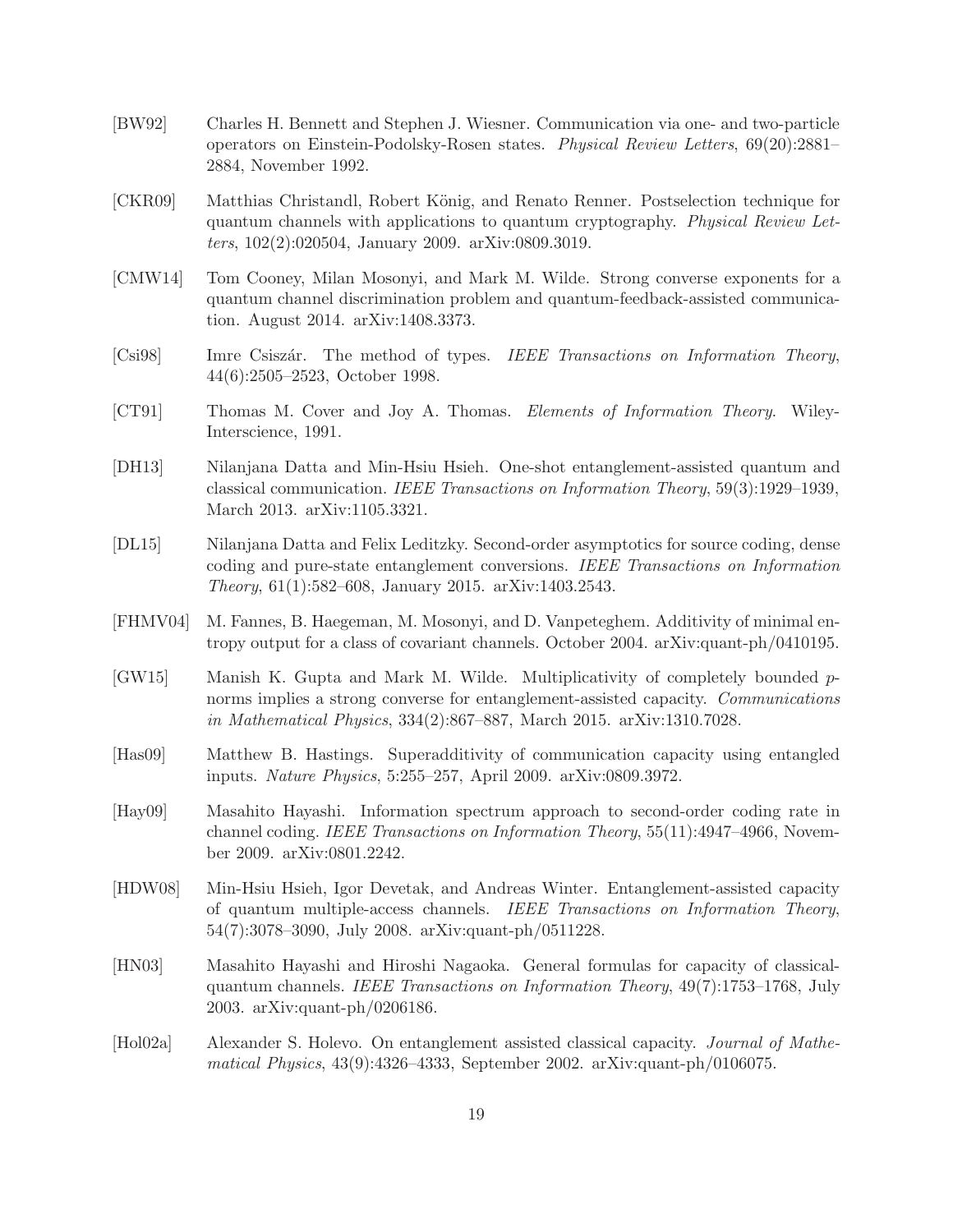- <span id="page-19-0"></span>[BW92] Charles H. Bennett and Stephen J. Wiesner. Communication via one- and two-particle operators on Einstein-Podolsky-Rosen states. *Physical Review Letters*, 69(20):2881– 2884, November 1992.
- <span id="page-19-11"></span>[CKR09] Matthias Christandl, Robert König, and Renato Renner. Postselection technique for quantum channels with applications to quantum cryptography. *Physical Review Letters*, 102(2):020504, January 2009. arXiv:0809.3019.
- <span id="page-19-3"></span>[CMW14] Tom Cooney, Milan Mosonyi, and Mark M. Wilde. Strong converse exponents for a quantum channel discrimination problem and quantum-feedback-assisted communication. August 2014. arXiv:1408.3373.
- <span id="page-19-12"></span>[Csi98] Imre Csisz´ar. The method of types. *IEEE Transactions on Information Theory*, 44(6):2505–2523, October 1998.
- <span id="page-19-13"></span>[CT91] Thomas M. Cover and Joy A. Thomas. *Elements of Information Theory*. Wiley-Interscience, 1991.
- <span id="page-19-6"></span>[DH13] Nilanjana Datta and Min-Hsiu Hsieh. One-shot entanglement-assisted quantum and classical communication. *IEEE Transactions on Information Theory*, 59(3):1929–1939, March 2013. arXiv:1105.3321.
- <span id="page-19-5"></span>[DL15] Nilanjana Datta and Felix Leditzky. Second-order asymptotics for source coding, dense coding and pure-state entanglement conversions. *IEEE Transactions on Information Theory*, 61(1):582–608, January 2015. arXiv:1403.2543.
- <span id="page-19-10"></span>[FHMV04] M. Fannes, B. Haegeman, M. Mosonyi, and D. Vanpeteghem. Additivity of minimal entropy output for a class of covariant channels. October 2004. arXiv:quant-ph/0410195.
- <span id="page-19-2"></span>[GW15] Manish K. Gupta and Mark M. Wilde. Multiplicativity of completely bounded pnorms implies a strong converse for entanglement-assisted capacity. *Communications in Mathematical Physics*, 334(2):867–887, March 2015. arXiv:1310.7028.
- <span id="page-19-1"></span>[Has09] Matthew B. Hastings. Superadditivity of communication capacity using entangled inputs. *Nature Physics*, 5:255–257, April 2009. arXiv:0809.3972.
- <span id="page-19-4"></span>[Hay09] Masahito Hayashi. Information spectrum approach to second-order coding rate in channel coding. *IEEE Transactions on Information Theory*, 55(11):4947–4966, November 2009. arXiv:0801.2242.
- <span id="page-19-8"></span>[HDW08] Min-Hsiu Hsieh, Igor Devetak, and Andreas Winter. Entanglement-assisted capacity of quantum multiple-access channels. *IEEE Transactions on Information Theory*, 54(7):3078–3090, July 2008. arXiv:quant-ph/0511228.
- <span id="page-19-9"></span>[HN03] Masahito Hayashi and Hiroshi Nagaoka. General formulas for capacity of classicalquantum channels. *IEEE Transactions on Information Theory*, 49(7):1753–1768, July 2003. arXiv:quant-ph/0206186.
- <span id="page-19-7"></span>[Hol02a] Alexander S. Holevo. On entanglement assisted classical capacity. *Journal of Mathematical Physics*, 43(9):4326–4333, September 2002. arXiv:quant-ph/0106075.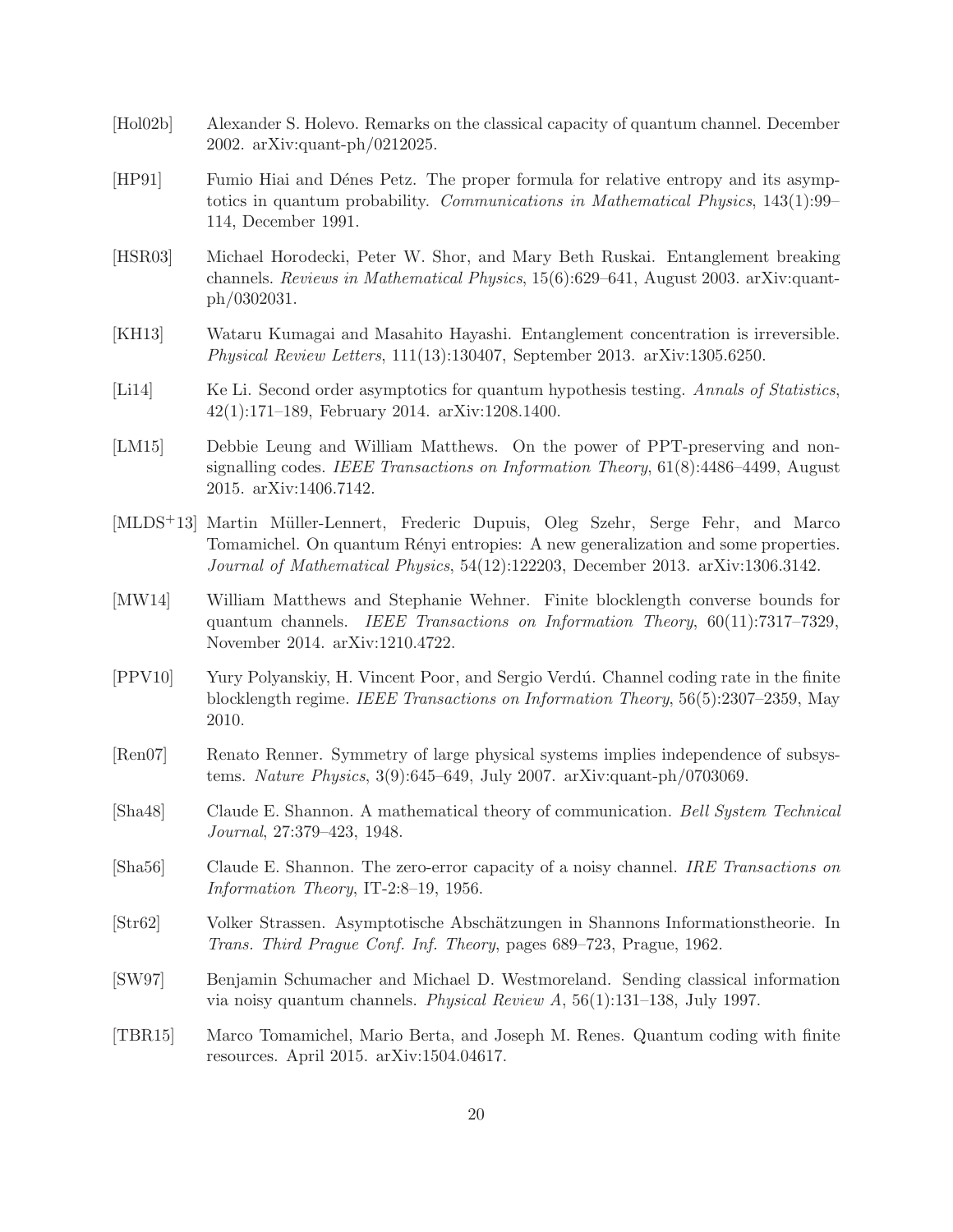- <span id="page-20-1"></span>[Hol02b] Alexander S. Holevo. Remarks on the classical capacity of quantum channel. December 2002. arXiv:quant-ph/0212025.
- <span id="page-20-12"></span>[HP91] Fumio Hiai and Dénes Petz. The proper formula for relative entropy and its asymptotics in quantum probability. *Communications in Mathematical Physics*, 143(1):99– 114, December 1991.
- <span id="page-20-0"></span>[HSR03] Michael Horodecki, Peter W. Shor, and Mary Beth Ruskai. Entanglement breaking channels. *Reviews in Mathematical Physics*, 15(6):629–641, August 2003. arXiv:quantph/0302031.
- <span id="page-20-7"></span>[KH13] Wataru Kumagai and Masahito Hayashi. Entanglement concentration is irreversible. *Physical Review Letters*, 111(13):130407, September 2013. arXiv:1305.6250.
- <span id="page-20-11"></span>[Li14] Ke Li. Second order asymptotics for quantum hypothesis testing. *Annals of Statistics*, 42(1):171–189, February 2014. arXiv:1208.1400.
- <span id="page-20-8"></span>[LM15] Debbie Leung and William Matthews. On the power of PPT-preserving and nonsignalling codes. *IEEE Transactions on Information Theory*, 61(8):4486–4499, August 2015. arXiv:1406.7142.
- <span id="page-20-13"></span>[MLDS<sup>+</sup>13] Martin Müller-Lennert, Frederic Dupuis, Oleg Szehr, Serge Fehr, and Marco Tomamichel. On quantum Rényi entropies: A new generalization and some properties. *Journal of Mathematical Physics*, 54(12):122203, December 2013. arXiv:1306.3142.
- <span id="page-20-10"></span>[MW14] William Matthews and Stephanie Wehner. Finite blocklength converse bounds for quantum channels. *IEEE Transactions on Information Theory*, 60(11):7317–7329, November 2014. arXiv:1210.4722.
- <span id="page-20-6"></span>[PPV10] Yury Polyanskiy, H. Vincent Poor, and Sergio Verd´u. Channel coding rate in the finite blocklength regime. *IEEE Transactions on Information Theory*, 56(5):2307–2359, May 2010.
- <span id="page-20-14"></span>[Ren07] Renato Renner. Symmetry of large physical systems implies independence of subsystems. *Nature Physics*, 3(9):645–649, July 2007. arXiv:quant-ph/0703069.
- <span id="page-20-3"></span>[Sha48] Claude E. Shannon. A mathematical theory of communication. *Bell System Technical Journal*, 27:379–423, 1948.
- <span id="page-20-4"></span>[Sha56] Claude E. Shannon. The zero-error capacity of a noisy channel. *IRE Transactions on Information Theory*, IT-2:8–19, 1956.
- <span id="page-20-5"></span>[Str62] Volker Strassen. Asymptotische Absch¨atzungen in Shannons Informationstheorie. In *Trans. Third Prague Conf. Inf. Theory*, pages 689–723, Prague, 1962.
- <span id="page-20-2"></span>[SW97] Benjamin Schumacher and Michael D. Westmoreland. Sending classical information via noisy quantum channels. *Physical Review A*, 56(1):131–138, July 1997.
- <span id="page-20-9"></span>[TBR15] Marco Tomamichel, Mario Berta, and Joseph M. Renes. Quantum coding with finite resources. April 2015. arXiv:1504.04617.